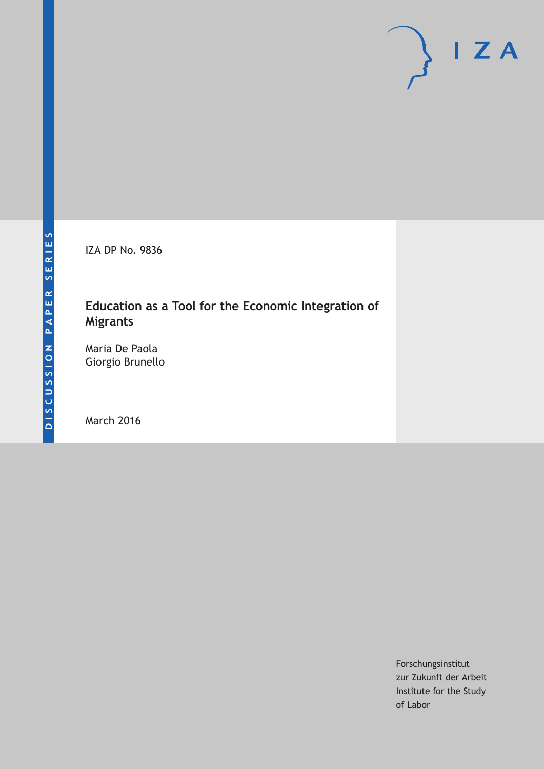IZA DP No. 9836

# **Education as a Tool for the Economic Integration of Migrants**

Maria De Paola Giorgio Brunello

March 2016

Forschungsinstitut zur Zukunft der Arbeit Institute for the Study of Labor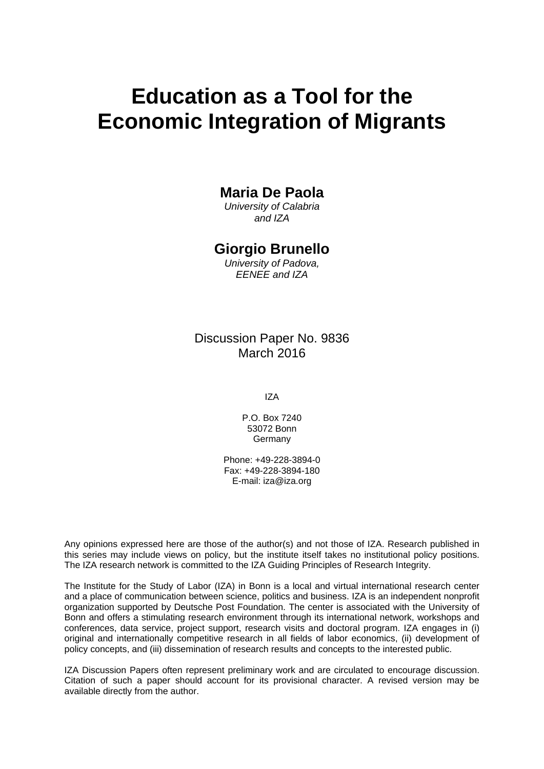# **Education as a Tool for the Economic Integration of Migrants**

## **Maria De Paola**

*University of Calabria and IZA* 

### **Giorgio Brunello**

*University of Padova, EENEE and IZA* 

## Discussion Paper No. 9836 March 2016

IZA

P.O. Box 7240 53072 Bonn **Germany** 

Phone: +49-228-3894-0 Fax: +49-228-3894-180 E-mail: iza@iza.org

Any opinions expressed here are those of the author(s) and not those of IZA. Research published in this series may include views on policy, but the institute itself takes no institutional policy positions. The IZA research network is committed to the IZA Guiding Principles of Research Integrity.

The Institute for the Study of Labor (IZA) in Bonn is a local and virtual international research center and a place of communication between science, politics and business. IZA is an independent nonprofit organization supported by Deutsche Post Foundation. The center is associated with the University of Bonn and offers a stimulating research environment through its international network, workshops and conferences, data service, project support, research visits and doctoral program. IZA engages in (i) original and internationally competitive research in all fields of labor economics, (ii) development of policy concepts, and (iii) dissemination of research results and concepts to the interested public.

IZA Discussion Papers often represent preliminary work and are circulated to encourage discussion. Citation of such a paper should account for its provisional character. A revised version may be available directly from the author.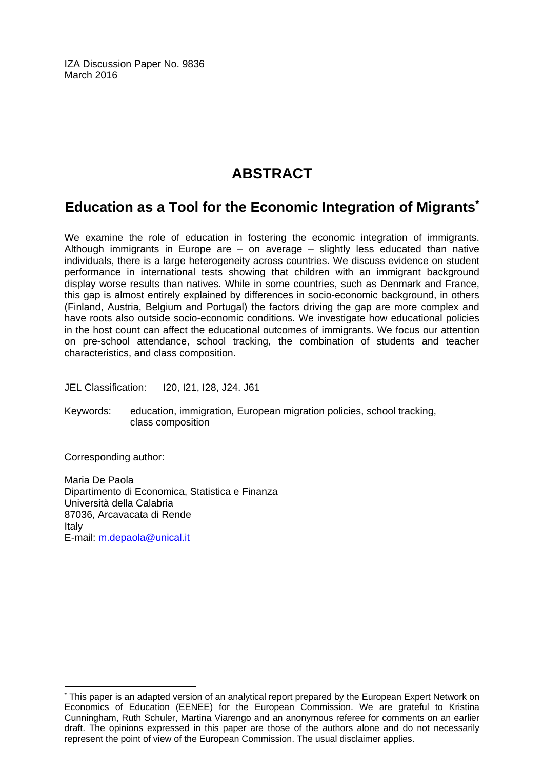IZA Discussion Paper No. 9836 March 2016

# **ABSTRACT**

# **Education as a Tool for the Economic Integration of Migrants\***

We examine the role of education in fostering the economic integration of immigrants. Although immigrants in Europe are  $-$  on average  $-$  slightly less educated than native individuals, there is a large heterogeneity across countries. We discuss evidence on student performance in international tests showing that children with an immigrant background display worse results than natives. While in some countries, such as Denmark and France, this gap is almost entirely explained by differences in socio-economic background, in others (Finland, Austria, Belgium and Portugal) the factors driving the gap are more complex and have roots also outside socio-economic conditions. We investigate how educational policies in the host count can affect the educational outcomes of immigrants. We focus our attention on pre-school attendance, school tracking, the combination of students and teacher characteristics, and class composition.

JEL Classification: I20, I21, I28, J24. J61

Keywords: education, immigration, European migration policies, school tracking, class composition

Corresponding author:

 $\overline{a}$ 

Maria De Paola Dipartimento di Economica, Statistica e Finanza Università della Calabria 87036, Arcavacata di Rende Italy E-mail: m.depaola@unical.it

<sup>\*</sup> This paper is an adapted version of an analytical report prepared by the European Expert Network on Economics of Education (EENEE) for the European Commission. We are grateful to Kristina Cunningham, Ruth Schuler, Martina Viarengo and an anonymous referee for comments on an earlier draft. The opinions expressed in this paper are those of the authors alone and do not necessarily represent the point of view of the European Commission. The usual disclaimer applies.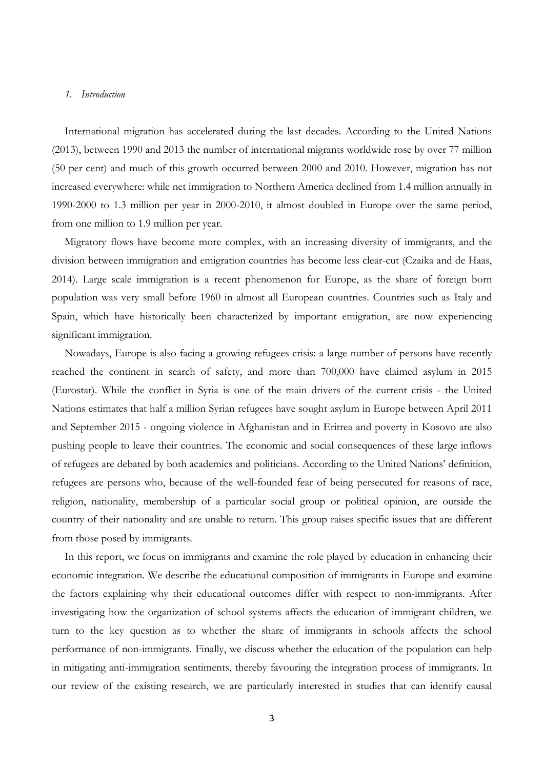#### *1. Introduction*

International migration has accelerated during the last decades. According to the United Nations (2013), between 1990 and 2013 the number of international migrants worldwide rose by over 77 million (50 per cent) and much of this growth occurred between 2000 and 2010. However, migration has not increased everywhere: while net immigration to Northern America declined from 1.4 million annually in 1990-2000 to 1.3 million per year in 2000-2010, it almost doubled in Europe over the same period, from one million to 1.9 million per year.

Migratory flows have become more complex, with an increasing diversity of immigrants, and the division between immigration and emigration countries has become less clear-cut (Czaika and de Haas, 2014). Large scale immigration is a recent phenomenon for Europe, as the share of foreign born population was very small before 1960 in almost all European countries. Countries such as Italy and Spain, which have historically been characterized by important emigration, are now experiencing significant immigration.

Nowadays, Europe is also facing a growing refugees crisis: a large number of persons have recently reached the continent in search of safety, and more than 700,000 have claimed asylum in 2015 (Eurostat). While the conflict in Syria is one of the main drivers of the current crisis - the United Nations estimates that half a million Syrian refugees have sought asylum in Europe between April 2011 and September 2015 - ongoing violence in Afghanistan and in Eritrea and poverty in Kosovo are also pushing people to leave their countries. The economic and social consequences of these large inflows of refugees are debated by both academics and politicians. According to the United Nations' definition, refugees are persons who, because of the well-founded fear of being persecuted for reasons of race, religion, nationality, membership of a particular social group or political opinion, are outside the country of their nationality and are unable to return. This group raises specific issues that are different from those posed by immigrants.

In this report, we focus on immigrants and examine the role played by education in enhancing their economic integration. We describe the educational composition of immigrants in Europe and examine the factors explaining why their educational outcomes differ with respect to non-immigrants. After investigating how the organization of school systems affects the education of immigrant children, we turn to the key question as to whether the share of immigrants in schools affects the school performance of non-immigrants. Finally, we discuss whether the education of the population can help in mitigating anti-immigration sentiments, thereby favouring the integration process of immigrants. In our review of the existing research, we are particularly interested in studies that can identify causal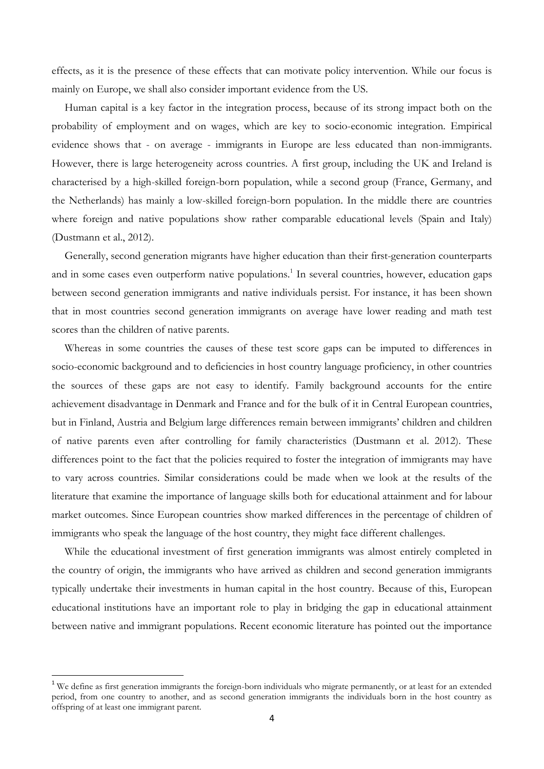effects, as it is the presence of these effects that can motivate policy intervention. While our focus is mainly on Europe, we shall also consider important evidence from the US.

Human capital is a key factor in the integration process, because of its strong impact both on the probability of employment and on wages, which are key to socio-economic integration. Empirical evidence shows that - on average - immigrants in Europe are less educated than non-immigrants. However, there is large heterogeneity across countries. A first group, including the UK and Ireland is characterised by a high-skilled foreign-born population, while a second group (France, Germany, and the Netherlands) has mainly a low-skilled foreign-born population. In the middle there are countries where foreign and native populations show rather comparable educational levels (Spain and Italy) (Dustmann et al., 2012).

Generally, second generation migrants have higher education than their first-generation counterparts and in some cases even outperform native populations. 1 In several countries, however, education gaps between second generation immigrants and native individuals persist. For instance, it has been shown that in most countries second generation immigrants on average have lower reading and math test scores than the children of native parents.

Whereas in some countries the causes of these test score gaps can be imputed to differences in socio-economic background and to deficiencies in host country language proficiency, in other countries the sources of these gaps are not easy to identify. Family background accounts for the entire achievement disadvantage in Denmark and France and for the bulk of it in Central European countries, but in Finland, Austria and Belgium large differences remain between immigrants' children and children of native parents even after controlling for family characteristics (Dustmann et al. 2012). These differences point to the fact that the policies required to foster the integration of immigrants may have to vary across countries. Similar considerations could be made when we look at the results of the literature that examine the importance of language skills both for educational attainment and for labour market outcomes. Since European countries show marked differences in the percentage of children of immigrants who speak the language of the host country, they might face different challenges.

While the educational investment of first generation immigrants was almost entirely completed in the country of origin, the immigrants who have arrived as children and second generation immigrants typically undertake their investments in human capital in the host country. Because of this, European educational institutions have an important role to play in bridging the gap in educational attainment between native and immigrant populations. Recent economic literature has pointed out the importance

<sup>&</sup>lt;sup>1</sup> We define as first generation immigrants the foreign-born individuals who migrate permanently, or at least for an extended period, from one country to another, and as second generation immigrants the individuals born in the host country as offspring of at least one immigrant parent.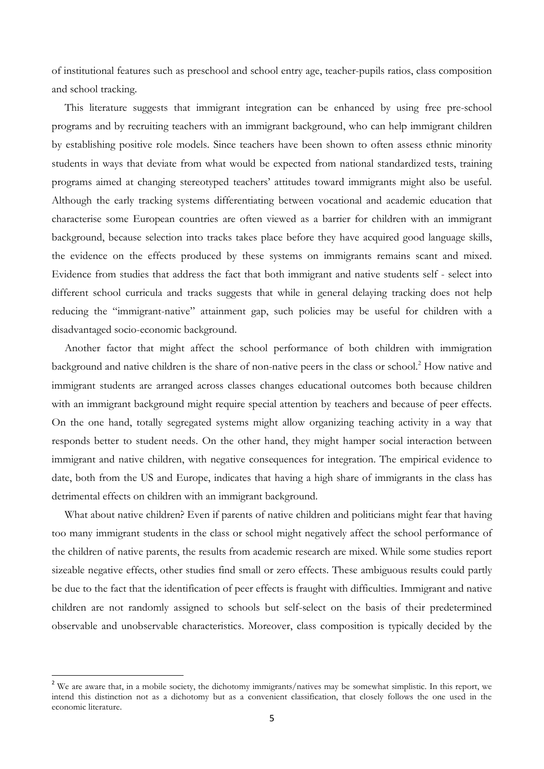of institutional features such as preschool and school entry age, teacher-pupils ratios, class composition and school tracking.

This literature suggests that immigrant integration can be enhanced by using free pre-school programs and by recruiting teachers with an immigrant background, who can help immigrant children by establishing positive role models. Since teachers have been shown to often assess ethnic minority students in ways that deviate from what would be expected from national standardized tests, training programs aimed at changing stereotyped teachers' attitudes toward immigrants might also be useful. Although the early tracking systems differentiating between vocational and academic education that characterise some European countries are often viewed as a barrier for children with an immigrant background, because selection into tracks takes place before they have acquired good language skills, the evidence on the effects produced by these systems on immigrants remains scant and mixed. Evidence from studies that address the fact that both immigrant and native students self - select into different school curricula and tracks suggests that while in general delaying tracking does not help reducing the "immigrant-native" attainment gap, such policies may be useful for children with a disadvantaged socio-economic background.

Another factor that might affect the school performance of both children with immigration background and native children is the share of non-native peers in the class or school.<sup>2</sup> How native and immigrant students are arranged across classes changes educational outcomes both because children with an immigrant background might require special attention by teachers and because of peer effects. On the one hand, totally segregated systems might allow organizing teaching activity in a way that responds better to student needs. On the other hand, they might hamper social interaction between immigrant and native children, with negative consequences for integration. The empirical evidence to date, both from the US and Europe, indicates that having a high share of immigrants in the class has detrimental effects on children with an immigrant background.

What about native children? Even if parents of native children and politicians might fear that having too many immigrant students in the class or school might negatively affect the school performance of the children of native parents, the results from academic research are mixed. While some studies report sizeable negative effects, other studies find small or zero effects. These ambiguous results could partly be due to the fact that the identification of peer effects is fraught with difficulties. Immigrant and native children are not randomly assigned to schools but self-select on the basis of their predetermined observable and unobservable characteristics. Moreover, class composition is typically decided by the

<sup>&</sup>lt;sup>2</sup> We are aware that, in a mobile society, the dichotomy immigrants/natives may be somewhat simplistic. In this report, we intend this distinction not as a dichotomy but as a convenient classification, that closely follows the one used in the economic literature.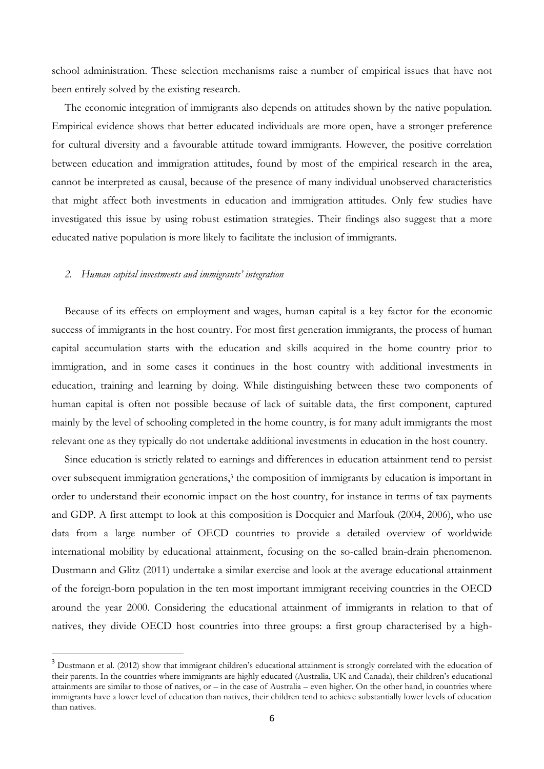school administration. These selection mechanisms raise a number of empirical issues that have not been entirely solved by the existing research.

The economic integration of immigrants also depends on attitudes shown by the native population. Empirical evidence shows that better educated individuals are more open, have a stronger preference for cultural diversity and a favourable attitude toward immigrants. However, the positive correlation between education and immigration attitudes, found by most of the empirical research in the area, cannot be interpreted as causal, because of the presence of many individual unobserved characteristics that might affect both investments in education and immigration attitudes. Only few studies have investigated this issue by using robust estimation strategies. Their findings also suggest that a more educated native population is more likely to facilitate the inclusion of immigrants.

#### *2. Human capital investments and immigrants' integration*

1

Because of its effects on employment and wages, human capital is a key factor for the economic success of immigrants in the host country. For most first generation immigrants, the process of human capital accumulation starts with the education and skills acquired in the home country prior to immigration, and in some cases it continues in the host country with additional investments in education, training and learning by doing. While distinguishing between these two components of human capital is often not possible because of lack of suitable data, the first component, captured mainly by the level of schooling completed in the home country, is for many adult immigrants the most relevant one as they typically do not undertake additional investments in education in the host country.

Since education is strictly related to earnings and differences in education attainment tend to persist over subsequent immigration generations, <sup>3</sup> the composition of immigrants by education is important in order to understand their economic impact on the host country, for instance in terms of tax payments and GDP. A first attempt to look at this composition is Docquier and Marfouk (2004, 2006), who use data from a large number of OECD countries to provide a detailed overview of worldwide international mobility by educational attainment, focusing on the so-called brain-drain phenomenon. Dustmann and Glitz (2011) undertake a similar exercise and look at the average educational attainment of the foreign-born population in the ten most important immigrant receiving countries in the OECD around the year 2000. Considering the educational attainment of immigrants in relation to that of natives, they divide OECD host countries into three groups: a first group characterised by a high-

<sup>&</sup>lt;sup>3</sup> Dustmann et al. (2012) show that immigrant children's educational attainment is strongly correlated with the education of their parents. In the countries where immigrants are highly educated (Australia, UK and Canada), their children's educational attainments are similar to those of natives, or – in the case of Australia – even higher. On the other hand, in countries where immigrants have a lower level of education than natives, their children tend to achieve substantially lower levels of education than natives.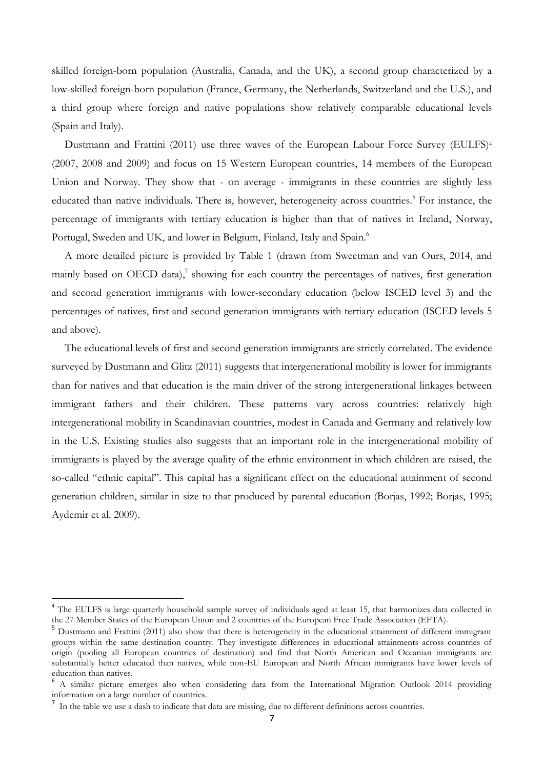skilled foreign-born population (Australia, Canada, and the UK), a second group characterized by a low-skilled foreign-born population (France, Germany, the Netherlands, Switzerland and the U.S.), and a third group where foreign and native populations show relatively comparable educational levels (Spain and Italy).

Dustmann and Frattini (2011) use three waves of the European Labour Force Survey (EULFS)<sup>4</sup> (2007, 2008 and 2009) and focus on 15 Western European countries, 14 members of the European Union and Norway. They show that - on average - immigrants in these countries are slightly less educated than native individuals. There is, however, heterogeneity across countries.<sup>5</sup> For instance, the percentage of immigrants with tertiary education is higher than that of natives in Ireland, Norway, Portugal, Sweden and UK, and lower in Belgium, Finland, Italy and Spain.<sup>6</sup>

A more detailed picture is provided by Table 1 (drawn from Sweetman and van Ours, 2014, and mainly based on OECD data),<sup>7</sup> showing for each country the percentages of natives, first generation and second generation immigrants with lower-secondary education (below ISCED level 3) and the percentages of natives, first and second generation immigrants with tertiary education (ISCED levels 5 and above).

The educational levels of first and second generation immigrants are strictly correlated. The evidence surveyed by Dustmann and Glitz (2011) suggests that intergenerational mobility is lower for immigrants than for natives and that education is the main driver of the strong intergenerational linkages between immigrant fathers and their children. These patterns vary across countries: relatively high intergenerational mobility in Scandinavian countries, modest in Canada and Germany and relatively low in the U.S. Existing studies also suggests that an important role in the intergenerational mobility of immigrants is played by the average quality of the ethnic environment in which children are raised, the so-called "ethnic capital". This capital has a significant effect on the educational attainment of second generation children, similar in size to that produced by parental education (Borjas, 1992; Borjas, 1995; Aydemir et al. 2009).

1

<sup>&</sup>lt;sup>4</sup> The EULFS is large quarterly household sample survey of individuals aged at least 15, that harmonizes data collected in the 27 Member States of the European Union and 2 countries of the European Free Trade Association (EFTA).

<sup>5</sup> Dustmann and Frattini (2011) also show that there is heterogeneity in the educational attainment of different immigrant groups within the same destination country. They investigate differences in educational attainments across countries of origin (pooling all European countries of destination) and find that North American and Oceanian immigrants are substantially better educated than natives, while non-EU European and North African immigrants have lower levels of education than natives.

<sup>6</sup> A similar picture emerges also when considering data from the International Migration Outlook 2014 providing information on a large number of countries.

<sup>&</sup>lt;sup>7</sup> In the table we use a dash to indicate that data are missing, due to different definitions across countries.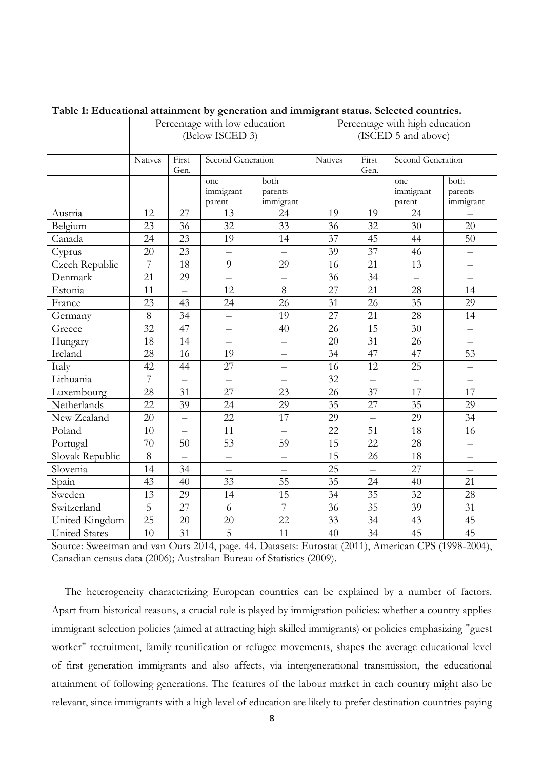| I abie I. Luucanonai ananniicht by generation anu miniigram status. ocieeneu countifies. |                               |                          |                            |                                |                 |               |                            |                              |
|------------------------------------------------------------------------------------------|-------------------------------|--------------------------|----------------------------|--------------------------------|-----------------|---------------|----------------------------|------------------------------|
|                                                                                          | Percentage with low education |                          |                            | Percentage with high education |                 |               |                            |                              |
|                                                                                          | (Below ISCED 3)               |                          |                            | (ISCED 5 and above)            |                 |               |                            |                              |
|                                                                                          | <b>Natives</b>                | First<br>Gen.            | Second Generation          |                                | <b>Natives</b>  | First<br>Gen. | Second Generation          |                              |
|                                                                                          |                               |                          | one<br>immigrant<br>parent | both<br>parents<br>immigrant   |                 |               | one<br>immigrant<br>parent | both<br>parents<br>immigrant |
| Austria                                                                                  | 12                            | 27                       | 13                         | 24                             | 19              | 19            | 24                         |                              |
| Belgium                                                                                  | 23                            | 36                       | 32                         | 33                             | $\overline{36}$ | 32            | 30                         | 20                           |
| Canada                                                                                   | 24                            | 23                       | 19                         | 14                             | $\overline{37}$ | 45            | 44                         | 50                           |
| Cyprus                                                                                   | 20                            | 23                       | $\equiv$                   | $\equiv$                       | 39              | 37            | 46                         | $\overline{\phantom{0}}$     |
| Czech Republic                                                                           | $\overline{7}$                | 18                       | 9                          | 29                             | 16              | 21            | 13                         | $\overline{\phantom{0}}$     |
| Denmark                                                                                  | 21                            | 29                       | $\equiv$                   | $\equiv$                       | 36              | 34            | $\overline{a}$             | $\overline{\phantom{0}}$     |
| Estonia                                                                                  | 11                            | $\overline{\phantom{0}}$ | 12                         | $8\,$                          | 27              | 21            | 28                         | 14                           |
| France                                                                                   | 23                            | 43                       | 24                         | 26                             | 31              | 26            | 35                         | 29                           |
| Germany                                                                                  | 8                             | 34                       | $\overline{\phantom{0}}$   | 19                             | 27              | 21            | 28                         | 14                           |
| Greece                                                                                   | 32                            | 47                       | —                          | 40                             | 26              | 15            | 30                         | -                            |
| Hungary                                                                                  | 18                            | 14                       | $\overline{\phantom{0}}$   | $\overline{\phantom{0}}$       | 20              | 31            | 26                         | $\overline{\phantom{0}}$     |
| Ireland                                                                                  | 28                            | 16                       | 19                         | $\qquad \qquad -$              | 34              | 47            | 47                         | 53                           |
| Italy                                                                                    | 42                            | 44                       | 27                         | $\overline{\phantom{0}}$       | 16              | 12            | 25                         | $\equiv$                     |
| Lithuania                                                                                | $\overline{7}$                |                          | —                          | $\overline{\phantom{0}}$       | 32              |               |                            | $\qquad \qquad -$            |
| Luxembourg                                                                               | 28                            | 31                       | 27                         | 23                             | 26              | 37            | 17                         | 17                           |
| Netherlands                                                                              | 22                            | 39                       | 24                         | 29                             | 35              | 27            | 35                         | 29                           |
| New Zealand                                                                              | 20                            | $\equiv$                 | 22                         | 17                             | 29              |               | 29                         | 34                           |
| Poland                                                                                   | 10                            | $\equiv$                 | 11                         | $\equiv$                       | 22              | 51            | 18                         | 16                           |
| Portugal                                                                                 | 70                            | 50                       | 53                         | 59                             | 15              | 22            | 28                         | $\overline{\phantom{0}}$     |
| Slovak Republic                                                                          | $8\,$                         | $\overline{\phantom{0}}$ | $\equiv$                   | $\overline{\phantom{0}}$       | 15              | 26            | 18                         | —                            |
| Slovenia                                                                                 | 14                            | 34                       |                            | $\overline{\phantom{0}}$       | 25              |               | 27                         | $\equiv$                     |
| Spain                                                                                    | 43                            | 40                       | 33                         | 55                             | 35              | 24            | 40                         | 21                           |
| Sweden                                                                                   | 13                            | 29                       | 14                         | 15                             | 34              | 35            | 32                         | 28                           |
| Switzerland                                                                              | 5                             | 27                       | 6                          | $\overline{7}$                 | 36              | 35            | 39                         | 31                           |
| United Kingdom                                                                           | 25                            | 20                       | 20                         | 22                             | 33              | 34            | 43                         | 45                           |
| <b>United States</b>                                                                     | 10                            | 31                       | 5                          | 11                             | 40              | 34            | 45                         | 45                           |

**Table 1: Educational attainment by generation and immigrant status. Selected countries.**

Source: Sweetman and van Ours 2014, page. 44. Datasets: Eurostat (2011), American CPS (1998-2004), Canadian census data (2006); Australian Bureau of Statistics (2009).

The heterogeneity characterizing European countries can be explained by a number of factors. Apart from historical reasons, a crucial role is played by immigration policies: whether a country applies immigrant selection policies (aimed at attracting high skilled immigrants) or policies emphasizing "guest worker" recruitment, family reunification or refugee movements, shapes the average educational level of first generation immigrants and also affects, via intergenerational transmission, the educational attainment of following generations. The features of the labour market in each country might also be relevant, since immigrants with a high level of education are likely to prefer destination countries paying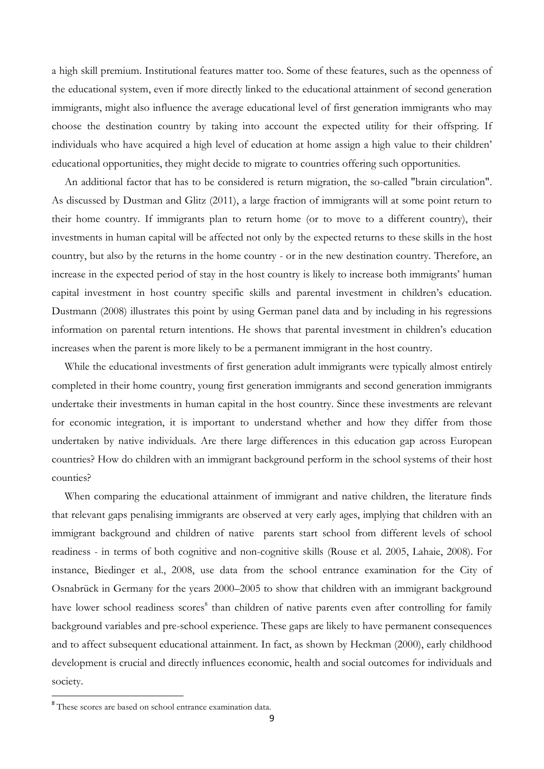a high skill premium. Institutional features matter too. Some of these features, such as the openness of the educational system, even if more directly linked to the educational attainment of second generation immigrants, might also influence the average educational level of first generation immigrants who may choose the destination country by taking into account the expected utility for their offspring. If individuals who have acquired a high level of education at home assign a high value to their children' educational opportunities, they might decide to migrate to countries offering such opportunities.

An additional factor that has to be considered is return migration, the so-called "brain circulation". As discussed by Dustman and Glitz (2011), a large fraction of immigrants will at some point return to their home country. If immigrants plan to return home (or to move to a different country), their investments in human capital will be affected not only by the expected returns to these skills in the host country, but also by the returns in the home country - or in the new destination country. Therefore, an increase in the expected period of stay in the host country is likely to increase both immigrants' human capital investment in host country specific skills and parental investment in children's education. Dustmann (2008) illustrates this point by using German panel data and by including in his regressions information on parental return intentions. He shows that parental investment in children's education increases when the parent is more likely to be a permanent immigrant in the host country.

While the educational investments of first generation adult immigrants were typically almost entirely completed in their home country, young first generation immigrants and second generation immigrants undertake their investments in human capital in the host country. Since these investments are relevant for economic integration, it is important to understand whether and how they differ from those undertaken by native individuals. Are there large differences in this education gap across European countries? How do children with an immigrant background perform in the school systems of their host counties?

When comparing the educational attainment of immigrant and native children, the literature finds that relevant gaps penalising immigrants are observed at very early ages, implying that children with an immigrant background and children of native parents start school from different levels of school readiness - in terms of both cognitive and non-cognitive skills (Rouse et al. 2005, Lahaie, 2008). For instance, Biedinger et al., 2008, use data from the school entrance examination for the City of Osnabrück in Germany for the years 2000–2005 to show that children with an immigrant background have lower school readiness scores<sup>8</sup> than children of native parents even after controlling for family background variables and pre-school experience. These gaps are likely to have permanent consequences and to affect subsequent educational attainment. In fact, as shown by Heckman (2000), early childhood development is crucial and directly influences economic, health and social outcomes for individuals and society.

<sup>&</sup>lt;sup>8</sup> These scores are based on school entrance examination data.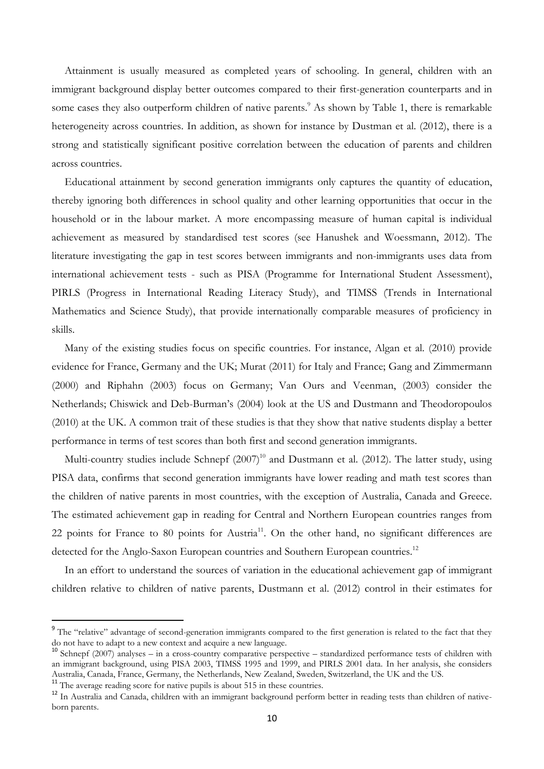Attainment is usually measured as completed years of schooling. In general, children with an immigrant background display better outcomes compared to their first-generation counterparts and in some cases they also outperform children of native parents.<sup>9</sup> As shown by Table 1, there is remarkable heterogeneity across countries. In addition, as shown for instance by Dustman et al. (2012), there is a strong and statistically significant positive correlation between the education of parents and children across countries.

Educational attainment by second generation immigrants only captures the quantity of education, thereby ignoring both differences in school quality and other learning opportunities that occur in the household or in the labour market. A more encompassing measure of human capital is individual achievement as measured by standardised test scores (see Hanushek and Woessmann, 2012). The literature investigating the gap in test scores between immigrants and non-immigrants uses data from international achievement tests - such as PISA (Programme for International Student Assessment), PIRLS (Progress in International Reading Literacy Study), and TIMSS (Trends in International Mathematics and Science Study), that provide internationally comparable measures of proficiency in skills.

Many of the existing studies focus on specific countries. For instance, Algan et al. (2010) provide evidence for France, Germany and the UK; Murat (2011) for Italy and France; Gang and Zimmermann (2000) and Riphahn (2003) focus on Germany; Van Ours and Veenman, (2003) consider the Netherlands; Chiswick and Deb-Burman's (2004) look at the US and Dustmann and Theodoropoulos (2010) at the UK. A common trait of these studies is that they show that native students display a better performance in terms of test scores than both first and second generation immigrants.

Multi-country studies include Schnepf  $(2007)^{10}$  and Dustmann et al. (2012). The latter study, using PISA data, confirms that second generation immigrants have lower reading and math test scores than the children of native parents in most countries, with the exception of Australia, Canada and Greece. The estimated achievement gap in reading for Central and Northern European countries ranges from 22 points for France to 80 points for Austria<sup>11</sup>. On the other hand, no significant differences are detected for the Anglo-Saxon European countries and Southern European countries.<sup>12</sup>

In an effort to understand the sources of variation in the educational achievement gap of immigrant children relative to children of native parents, Dustmann et al. (2012) control in their estimates for

<sup>&</sup>lt;sup>9</sup> The "relative" advantage of second-generation immigrants compared to the first generation is related to the fact that they do not have to adapt to a new context and acquire a new language.

<sup>&</sup>lt;sup>10</sup> Schnepf (2007) analyses – in a cross-country comparative perspective – standardized performance tests of children with an immigrant background, using PISA 2003, TIMSS 1995 and 1999, and PIRLS 2001 data. In her analysis, she considers Australia, Canada, France, Germany, the Netherlands, New Zealand, Sweden, Switzerland, the UK and the US.

<sup>&</sup>lt;sup>11</sup> The average reading score for native pupils is about 515 in these countries.

<sup>&</sup>lt;sup>12</sup> In Australia and Canada, children with an immigrant background perform better in reading tests than children of nativeborn parents.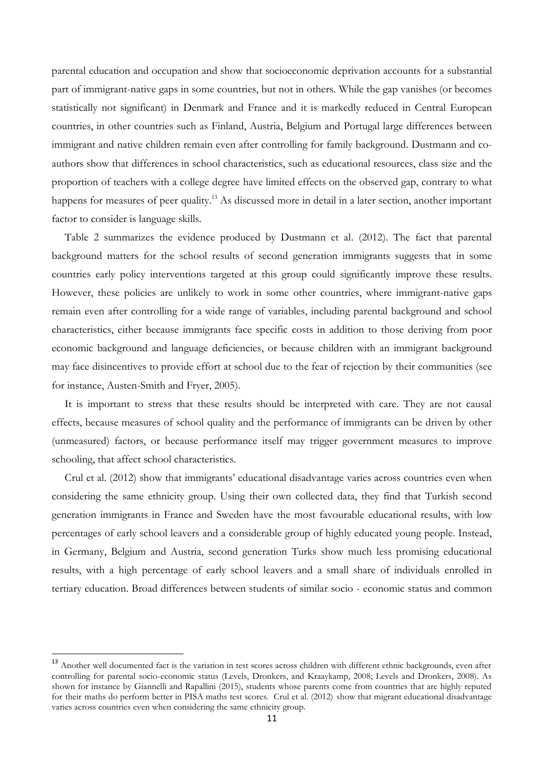parental education and occupation and show that socioeconomic deprivation accounts for a substantial part of immigrant-native gaps in some countries, but not in others. While the gap vanishes (or becomes statistically not significant) in Denmark and France and it is markedly reduced in Central European countries, in other countries such as Finland, Austria, Belgium and Portugal large differences between immigrant and native children remain even after controlling for family background. Dustmann and coauthors show that differences in school characteristics, such as educational resources, class size and the proportion of teachers with a college degree have limited effects on the observed gap, contrary to what happens for measures of peer quality.<sup>13</sup> As discussed more in detail in a later section, another important factor to consider is language skills.

Table 2 summarizes the evidence produced by Dustmann et al. (2012). The fact that parental background matters for the school results of second generation immigrants suggests that in some countries early policy interventions targeted at this group could significantly improve these results. However, these policies are unlikely to work in some other countries, where immigrant-native gaps remain even after controlling for a wide range of variables, including parental background and school characteristics, either because immigrants face specific costs in addition to those deriving from poor economic background and language deficiencies, or because children with an immigrant background may face disincentives to provide effort at school due to the fear of rejection by their communities (see for instance, Austen-Smith and Fryer, 2005).

It is important to stress that these results should be interpreted with care. They are not causal effects, because measures of school quality and the performance of immigrants can be driven by other (unmeasured) factors, or because performance itself may trigger government measures to improve schooling, that affect school characteristics.

Crul et al. (2012) show that immigrants' educational disadvantage varies across countries even when considering the same ethnicity group. Using their own collected data, they find that Turkish second generation immigrants in France and Sweden have the most favourable educational results, with low percentages of early school leavers and a considerable group of highly educated young people. Instead, in Germany, Belgium and Austria, second generation Turks show much less promising educational results, with a high percentage of early school leavers and a small share of individuals enrolled in tertiary education. Broad differences between students of similar socio - economic status and common

1

<sup>&</sup>lt;sup>13</sup> Another well documented fact is the variation in test scores across children with different ethnic backgrounds, even after controlling for parental socio-economic status (Levels, Dronkers, and Kraaykamp, 2008; Levels and Dronkers, 2008). As shown for instance by Giannelli and Rapallini (2015), students whose parents come from countries that are highly reputed for their maths do perform better in PISA maths test scores. Crul et al. (2012) show that migrant educational disadvantage varies across countries even when considering the same ethnicity group.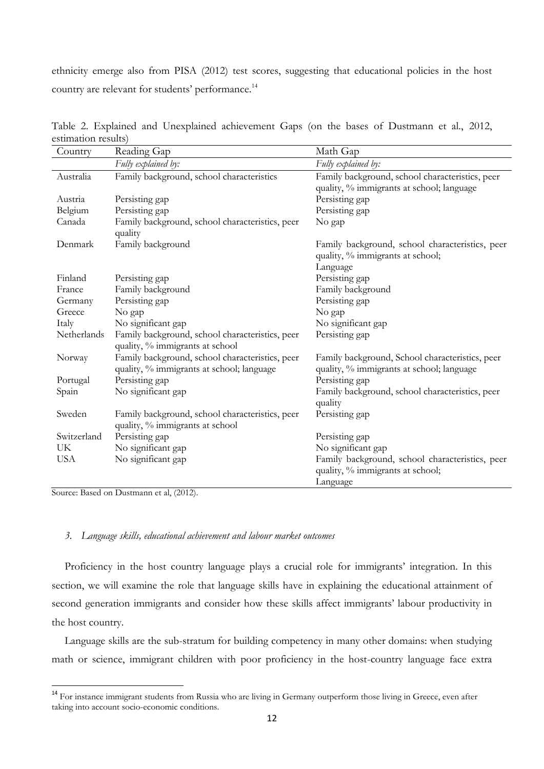ethnicity emerge also from PISA (2012) test scores, suggesting that educational policies in the host country are relevant for students' performance.<sup>14</sup>

| Country     | Reading Gap                                     | Math Gap                                        |
|-------------|-------------------------------------------------|-------------------------------------------------|
|             | Fully explained by:                             | Fully explained by:                             |
| Australia   | Family background, school characteristics       | Family background, school characteristics, peer |
|             |                                                 | quality, % immigrants at school; language       |
| Austria     | Persisting gap                                  | Persisting gap                                  |
| Belgium     | Persisting gap                                  | Persisting gap                                  |
| Canada      | Family background, school characteristics, peer | No gap                                          |
|             | quality                                         |                                                 |
| Denmark     | Family background                               | Family background, school characteristics, peer |
|             |                                                 | quality, % immigrants at school;                |
|             |                                                 | Language                                        |
| Finland     | Persisting gap                                  | Persisting gap                                  |
| France      | Family background                               | Family background                               |
| Germany     | Persisting gap                                  | Persisting gap                                  |
| Greece      | No gap                                          | No gap                                          |
| Italy       | No significant gap                              | No significant gap                              |
| Netherlands | Family background, school characteristics, peer | Persisting gap                                  |
|             | quality, % immigrants at school                 |                                                 |
| Norway      | Family background, school characteristics, peer | Family background, School characteristics, peer |
|             | quality, % immigrants at school; language       | quality, % immigrants at school; language       |
| Portugal    | Persisting gap                                  | Persisting gap                                  |
| Spain       | No significant gap                              | Family background, school characteristics, peer |
|             |                                                 | quality                                         |
| Sweden      | Family background, school characteristics, peer | Persisting gap                                  |
|             | quality, % immigrants at school                 |                                                 |
| Switzerland | Persisting gap                                  | Persisting gap                                  |
| UK          | No significant gap                              | No significant gap                              |
| <b>USA</b>  | No significant gap                              | Family background, school characteristics, peer |
|             |                                                 | quality, % immigrants at school;                |
|             |                                                 | Language                                        |

Table 2. Explained and Unexplained achievement Gaps (on the bases of Dustmann et al., 2012, estimation results)

Source: Based on Dustmann et al, (2012).

**.** 

#### *3. Language skills, educational achievement and labour market outcomes*

Proficiency in the host country language plays a crucial role for immigrants' integration. In this section, we will examine the role that language skills have in explaining the educational attainment of second generation immigrants and consider how these skills affect immigrants' labour productivity in the host country.

Language skills are the sub-stratum for building competency in many other domains: when studying math or science, immigrant children with poor proficiency in the host-country language face extra

<sup>&</sup>lt;sup>14</sup> For instance immigrant students from Russia who are living in Germany outperform those living in Greece, even after taking into account socio-economic conditions.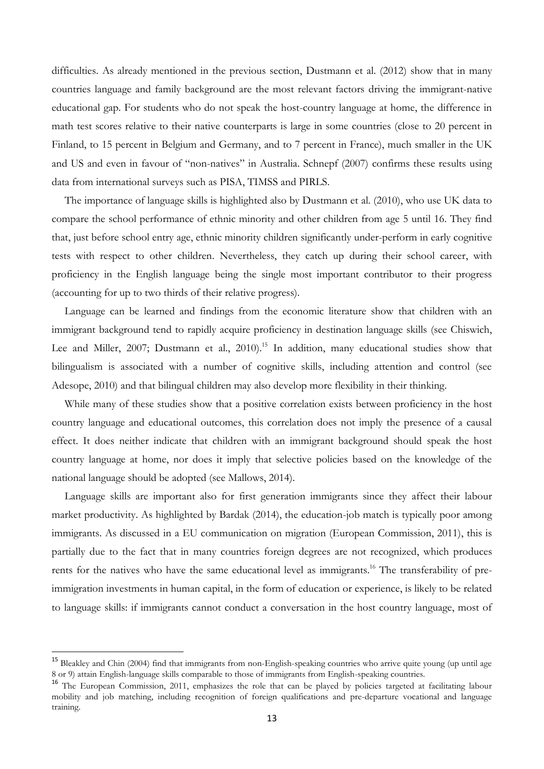difficulties. As already mentioned in the previous section, Dustmann et al. (2012) show that in many countries language and family background are the most relevant factors driving the immigrant-native educational gap. For students who do not speak the host-country language at home, the difference in math test scores relative to their native counterparts is large in some countries (close to 20 percent in Finland, to 15 percent in Belgium and Germany, and to 7 percent in France), much smaller in the UK and US and even in favour of "non-natives" in Australia. Schnepf (2007) confirms these results using data from international surveys such as PISA, TIMSS and PIRLS.

The importance of language skills is highlighted also by Dustmann et al. (2010), who use UK data to compare the school performance of ethnic minority and other children from age 5 until 16. They find that, just before school entry age, ethnic minority children significantly under-perform in early cognitive tests with respect to other children. Nevertheless, they catch up during their school career, with proficiency in the English language being the single most important contributor to their progress (accounting for up to two thirds of their relative progress).

Language can be learned and findings from the economic literature show that children with an immigrant background tend to rapidly acquire proficiency in destination language skills (see Chiswich, Lee and Miller, 2007; Dustmann et al., 2010).<sup>15</sup> In addition, many educational studies show that bilingualism is associated with a number of cognitive skills, including attention and control (see Adesope, 2010) and that bilingual children may also develop more flexibility in their thinking.

While many of these studies show that a positive correlation exists between proficiency in the host country language and educational outcomes, this correlation does not imply the presence of a causal effect. It does neither indicate that children with an immigrant background should speak the host country language at home, nor does it imply that selective policies based on the knowledge of the national language should be adopted (see Mallows, 2014).

Language skills are important also for first generation immigrants since they affect their labour market productivity. As highlighted by Bardak (2014), the education-job match is typically poor among immigrants. As discussed in a EU communication on migration (European Commission, 2011), this is partially due to the fact that in many countries foreign degrees are not recognized, which produces rents for the natives who have the same educational level as immigrants.<sup>16</sup> The transferability of preimmigration investments in human capital, in the form of education or experience, is likely to be related to language skills: if immigrants cannot conduct a conversation in the host country language, most of

<sup>&</sup>lt;sup>15</sup> Bleakley and Chin (2004) find that immigrants from non-English-speaking countries who arrive quite young (up until age 8 or 9) attain English-language skills comparable to those of immigrants from English-speaking countries.

<sup>&</sup>lt;sup>16</sup> The European Commission, 2011, emphasizes the role that can be played by policies targeted at facilitating labour mobility and job matching, including recognition of foreign qualifications and pre-departure vocational and language training.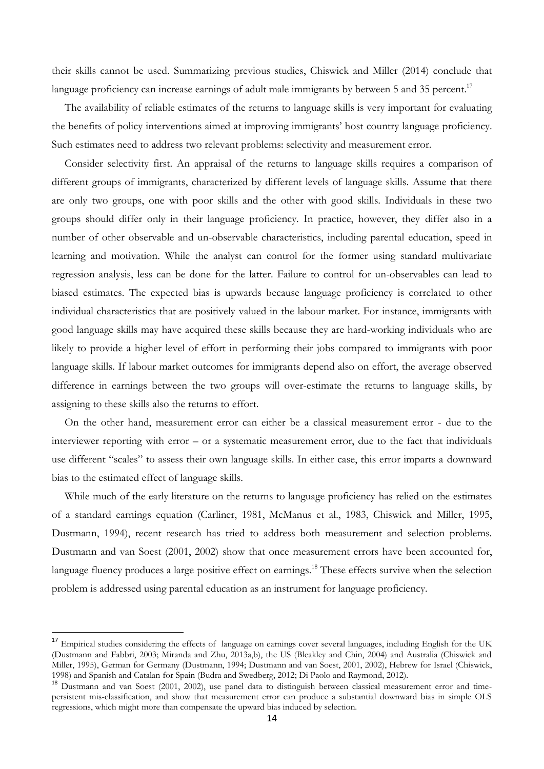their skills cannot be used. Summarizing previous studies, Chiswick and Miller (2014) conclude that language proficiency can increase earnings of adult male immigrants by between 5 and 35 percent.<sup>17</sup>

The availability of reliable estimates of the returns to language skills is very important for evaluating the benefits of policy interventions aimed at improving immigrants' host country language proficiency. Such estimates need to address two relevant problems: selectivity and measurement error.

Consider selectivity first. An appraisal of the returns to language skills requires a comparison of different groups of immigrants, characterized by different levels of language skills. Assume that there are only two groups, one with poor skills and the other with good skills. Individuals in these two groups should differ only in their language proficiency. In practice, however, they differ also in a number of other observable and un-observable characteristics, including parental education, speed in learning and motivation. While the analyst can control for the former using standard multivariate regression analysis, less can be done for the latter. Failure to control for un-observables can lead to biased estimates. The expected bias is upwards because language proficiency is correlated to other individual characteristics that are positively valued in the labour market. For instance, immigrants with good language skills may have acquired these skills because they are hard-working individuals who are likely to provide a higher level of effort in performing their jobs compared to immigrants with poor language skills. If labour market outcomes for immigrants depend also on effort, the average observed difference in earnings between the two groups will over-estimate the returns to language skills, by assigning to these skills also the returns to effort.

On the other hand, measurement error can either be a classical measurement error - due to the interviewer reporting with error – or a systematic measurement error, due to the fact that individuals use different "scales" to assess their own language skills. In either case, this error imparts a downward bias to the estimated effect of language skills.

While much of the early literature on the returns to language proficiency has relied on the estimates of a standard earnings equation (Carliner, 1981, McManus et al., 1983, Chiswick and Miller, 1995, Dustmann, 1994), recent research has tried to address both measurement and selection problems. Dustmann and van Soest (2001, 2002) show that once measurement errors have been accounted for, language fluency produces a large positive effect on earnings.<sup>18</sup> These effects survive when the selection problem is addressed using parental education as an instrument for language proficiency.

<sup>&</sup>lt;sup>17</sup> Empirical studies considering the effects of language on earnings cover several languages, including English for the UK (Dustmann and Fabbri, 2003; Miranda and Zhu, 2013a,b), the US (Bleakley and Chin, 2004) and Australia (Chiswick and Miller, 1995), German for Germany (Dustmann, 1994; Dustmann and van Soest, 2001, 2002), Hebrew for Israel (Chiswick, 1998) and Spanish and Catalan for Spain (Budra and Swedberg, 2012; Di Paolo and Raymond, 2012).

<sup>&</sup>lt;sup>18</sup> Dustmann and van Soest (2001, 2002), use panel data to distinguish between classical measurement error and timepersistent mis-classification, and show that measurement error can produce a substantial downward bias in simple OLS regressions, which might more than compensate the upward bias induced by selection.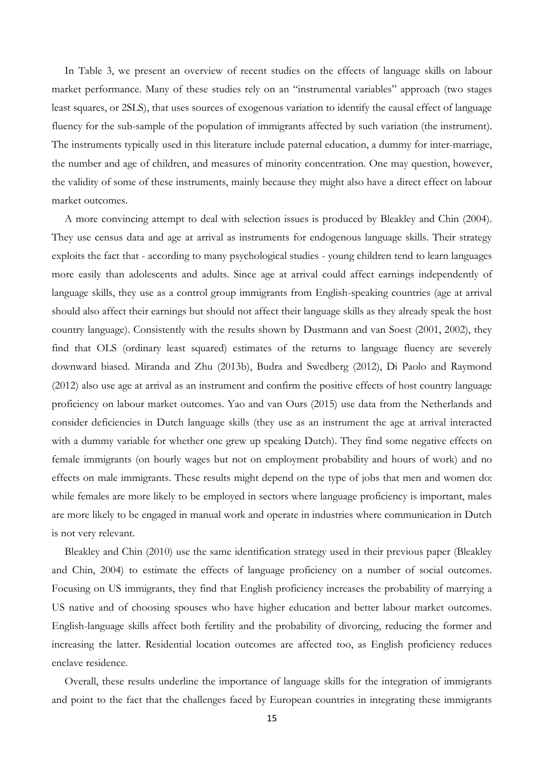In Table 3, we present an overview of recent studies on the effects of language skills on labour market performance. Many of these studies rely on an "instrumental variables" approach (two stages least squares, or 2SLS), that uses sources of exogenous variation to identify the causal effect of language fluency for the sub-sample of the population of immigrants affected by such variation (the instrument). The instruments typically used in this literature include paternal education, a dummy for inter-marriage, the number and age of children, and measures of minority concentration. One may question, however, the validity of some of these instruments, mainly because they might also have a direct effect on labour market outcomes.

A more convincing attempt to deal with selection issues is produced by Bleakley and Chin (2004). They use census data and age at arrival as instruments for endogenous language skills. Their strategy exploits the fact that - according to many psychological studies - young children tend to learn languages more easily than adolescents and adults. Since age at arrival could affect earnings independently of language skills, they use as a control group immigrants from English-speaking countries (age at arrival should also affect their earnings but should not affect their language skills as they already speak the host country language). Consistently with the results shown by Dustmann and van Soest (2001, 2002), they find that OLS (ordinary least squared) estimates of the returns to language fluency are severely downward biased. Miranda and Zhu (2013b), Budra and Swedberg (2012), Di Paolo and Raymond (2012) also use age at arrival as an instrument and confirm the positive effects of host country language proficiency on labour market outcomes. Yao and van Ours (2015) use data from the Netherlands and consider deficiencies in Dutch language skills (they use as an instrument the age at arrival interacted with a dummy variable for whether one grew up speaking Dutch). They find some negative effects on female immigrants (on hourly wages but not on employment probability and hours of work) and no effects on male immigrants. These results might depend on the type of jobs that men and women do: while females are more likely to be employed in sectors where language proficiency is important, males are more likely to be engaged in manual work and operate in industries where communication in Dutch is not very relevant.

Bleakley and Chin (2010) use the same identification strategy used in their previous paper (Bleakley and Chin, 2004) to estimate the effects of language proficiency on a number of social outcomes. Focusing on US immigrants, they find that English proficiency increases the probability of marrying a US native and of choosing spouses who have higher education and better labour market outcomes. English-language skills affect both fertility and the probability of divorcing, reducing the former and increasing the latter. Residential location outcomes are affected too, as English proficiency reduces enclave residence.

Overall, these results underline the importance of language skills for the integration of immigrants and point to the fact that the challenges faced by European countries in integrating these immigrants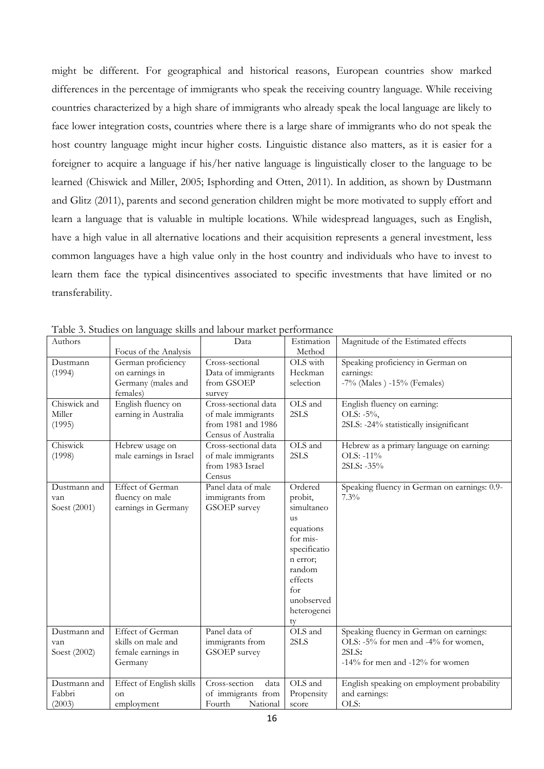might be different. For geographical and historical reasons, European countries show marked differences in the percentage of immigrants who speak the receiving country language. While receiving countries characterized by a high share of immigrants who already speak the local language are likely to face lower integration costs, countries where there is a large share of immigrants who do not speak the host country language might incur higher costs. Linguistic distance also matters, as it is easier for a foreigner to acquire a language if his/her native language is linguistically closer to the language to be learned (Chiswick and Miller, 2005; Isphording and Otten, 2011). In addition, as shown by Dustmann and Glitz (2011), parents and second generation children might be more motivated to supply effort and learn a language that is valuable in multiple locations. While widespread languages, such as English, have a high value in all alternative locations and their acquisition represents a general investment, less common languages have a high value only in the host country and individuals who have to invest to learn them face the typical disincentives associated to specific investments that have limited or no transferability.

| Authors                             | Focus of the Analysis                                                          | Data                                                                                    | Estimation<br>Method                                                                                                                                              | Magnitude of the Estimated effects                                                                                         |
|-------------------------------------|--------------------------------------------------------------------------------|-----------------------------------------------------------------------------------------|-------------------------------------------------------------------------------------------------------------------------------------------------------------------|----------------------------------------------------------------------------------------------------------------------------|
| Dustmann<br>(1994)                  | German proficiency<br>on earnings in<br>Germany (males and<br>females)         | Cross-sectional<br>Data of immigrants<br>from GSOEP<br>survey                           | OLS with<br>Heckman<br>selection                                                                                                                                  | Speaking proficiency in German on<br>earnings:<br>$-7\%$ (Males) $-15\%$ (Females)                                         |
| Chiswick and<br>Miller<br>(1995)    | English fluency on<br>earning in Australia                                     | Cross-sectional data<br>of male immigrants<br>from 1981 and 1986<br>Census of Australia | OLS and<br>2SLS                                                                                                                                                   | English fluency on earning:<br>OLS: -5%,<br>2SLS: -24% statistically insignificant                                         |
| Chiswick<br>(1998)                  | Hebrew usage on<br>male earnings in Israel                                     | Cross-sectional data<br>of male immigrants<br>from 1983 Israel<br>Census                | OLS and<br>2SLS                                                                                                                                                   | Hebrew as a primary language on earning:<br>OLS: -11%<br>2SLS: -35%                                                        |
| Dustmann and<br>van<br>Soest (2001) | <b>Effect of German</b><br>fluency on male<br>earnings in Germany              | Panel data of male<br>immigrants from<br>GSOEP survey                                   | Ordered<br>probit,<br>simultaneo<br><b>us</b><br>equations<br>for mis-<br>specificatio<br>n error;<br>random<br>effects<br>for<br>unobserved<br>heterogenei<br>ty | Speaking fluency in German on earnings: 0.9-<br>7.3%                                                                       |
| Dustmann and<br>van<br>Soest (2002) | <b>Effect of German</b><br>skills on male and<br>female earnings in<br>Germany | Panel data of<br>immigrants from<br>GSOEP survey                                        | OLS and<br>2SLS                                                                                                                                                   | Speaking fluency in German on earnings:<br>OLS: -5% for men and -4% for women,<br>2SLS:<br>-14% for men and -12% for women |
| Dustmann and<br>Fabbri<br>(2003)    | Effect of English skills<br>on<br>employment                                   | Cross-section<br>data<br>of immigrants from<br>Fourth<br>National                       | OLS and<br>Propensity<br>score                                                                                                                                    | English speaking on employment probability<br>and earnings:<br>OLS:                                                        |

Table 3. Studies on language skills and labour market performance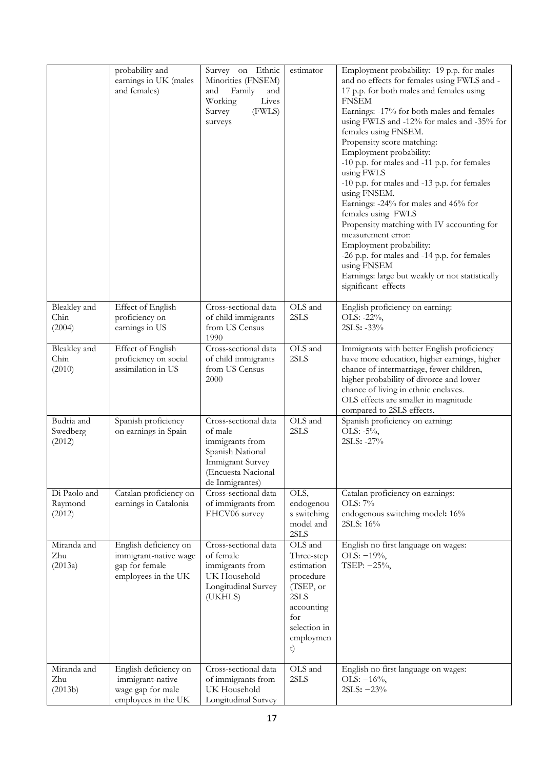|                                   | probability and<br>earnings in UK (males<br>and females)                                | Survey on Ethnic<br>Minorities (FNSEM)<br>Family<br>and<br>and<br>Working<br>Lives<br>Survey<br>(FWLS)<br>surveys                          | estimator                                                                                                                     | Employment probability: -19 p.p. for males<br>and no effects for females using FWLS and -<br>17 p.p. for both males and females using<br><b>FNSEM</b><br>Earnings: -17% for both males and females<br>using FWLS and -12% for males and -35% for<br>females using FNSEM.<br>Propensity score matching:<br>Employment probability:<br>-10 p.p. for males and -11 p.p. for females<br>using FWLS<br>-10 p.p. for males and -13 p.p. for females<br>using FNSEM.<br>Earnings: -24% for males and 46% for<br>females using FWLS<br>Propensity matching with IV accounting for<br>measurement error:<br>Employment probability:<br>-26 p.p. for males and -14 p.p. for females<br>using FNSEM<br>Earnings: large but weakly or not statistically<br>significant effects |
|-----------------------------------|-----------------------------------------------------------------------------------------|--------------------------------------------------------------------------------------------------------------------------------------------|-------------------------------------------------------------------------------------------------------------------------------|--------------------------------------------------------------------------------------------------------------------------------------------------------------------------------------------------------------------------------------------------------------------------------------------------------------------------------------------------------------------------------------------------------------------------------------------------------------------------------------------------------------------------------------------------------------------------------------------------------------------------------------------------------------------------------------------------------------------------------------------------------------------|
| Bleakley and<br>Chin<br>(2004)    | Effect of English<br>proficiency on<br>earnings in US                                   | Cross-sectional data<br>of child immigrants<br>from US Census<br>1990                                                                      | OLS and<br>2SLS                                                                                                               | English proficiency on earning:<br>OLS: -22%,<br>2SLS: -33%                                                                                                                                                                                                                                                                                                                                                                                                                                                                                                                                                                                                                                                                                                        |
| Bleakley and<br>Chin<br>(2010)    | Effect of English<br>proficiency on social<br>assimilation in US                        | Cross-sectional data<br>of child immigrants<br>from US Census<br>2000                                                                      | OLS and<br>2SLS                                                                                                               | Immigrants with better English proficiency<br>have more education, higher earnings, higher<br>chance of intermarriage, fewer children,<br>higher probability of divorce and lower<br>chance of living in ethnic enclaves.<br>OLS effects are smaller in magnitude<br>compared to 2SLS effects.                                                                                                                                                                                                                                                                                                                                                                                                                                                                     |
| Budria and<br>Swedberg<br>(2012)  | Spanish proficiency<br>on earnings in Spain                                             | Cross-sectional data<br>of male<br>immigrants from<br>Spanish National<br><b>Immigrant Survey</b><br>(Encuesta Nacional<br>de Inmigrantes) | OLS and<br>2SLS                                                                                                               | Spanish proficiency on earning:<br>OLS: -5%,<br>2SLS: -27%                                                                                                                                                                                                                                                                                                                                                                                                                                                                                                                                                                                                                                                                                                         |
| Di Paolo and<br>Raymond<br>(2012) | Catalan proficiency on<br>earnings in Catalonia                                         | Cross-sectional data<br>of immigrants from<br>EHCV06 survey                                                                                | OLS,<br>endogenou<br>s switching<br>model and<br>2SLS                                                                         | Catalan proficiency on earnings:<br>OLS: 7%<br>endogenous switching model: 16%<br>2SLS: 16%                                                                                                                                                                                                                                                                                                                                                                                                                                                                                                                                                                                                                                                                        |
| Miranda and<br>Zhu<br>(2013a)     | English deficiency on<br>immigrant-native wage<br>gap for female<br>employees in the UK | Cross-sectional data<br>of female<br>immigrants from<br>UK Household<br>Longitudinal Survey<br>(UKHLS)                                     | OLS and<br>Three-step<br>estimation<br>procedure<br>(TSEP, or<br>2SLS<br>accounting<br>for<br>selection in<br>employmen<br>t) | English no first language on wages:<br>OLS: $-19%$ ,<br>TSEP: -25%,                                                                                                                                                                                                                                                                                                                                                                                                                                                                                                                                                                                                                                                                                                |
| Miranda and<br>Zhu<br>(2013b)     | English deficiency on<br>immigrant-native<br>wage gap for male<br>employees in the UK   | Cross-sectional data<br>of immigrants from<br>UK Household<br>Longitudinal Survey                                                          | OLS and<br>2SLS                                                                                                               | English no first language on wages:<br>OLS: $-16\%$ ,<br>$2SLS: -23%$                                                                                                                                                                                                                                                                                                                                                                                                                                                                                                                                                                                                                                                                                              |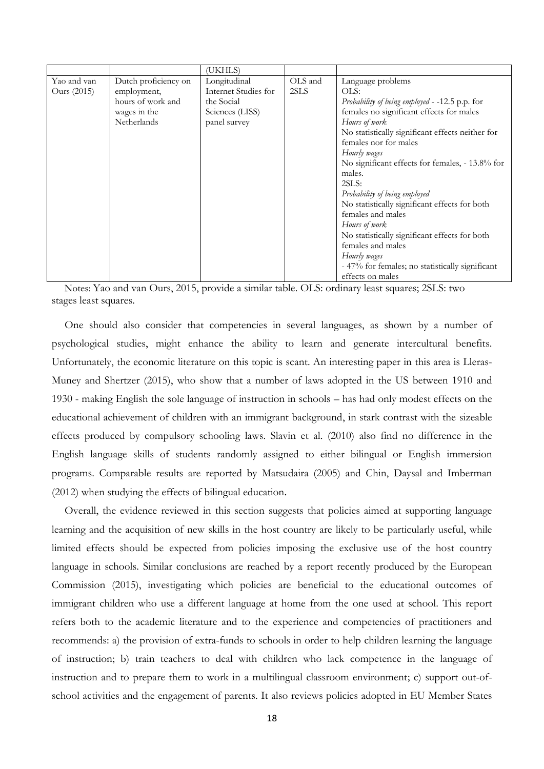Notes: Yao and van Ours, 2015, provide a similar table. OLS: ordinary least squares; 2SLS: two stages least squares.

One should also consider that competencies in several languages, as shown by a number of psychological studies, might enhance the ability to learn and generate intercultural benefits. Unfortunately, the economic literature on this topic is scant. An interesting paper in this area is Lleras-Muney and Shertzer (2015), who show that a number of laws adopted in the US between 1910 and 1930 - making English the sole language of instruction in schools – has had only modest effects on the educational achievement of children with an immigrant background, in stark contrast with the sizeable effects produced by compulsory schooling laws. Slavin et al. (2010) also find no difference in the English language skills of students randomly assigned to either bilingual or English immersion programs. Comparable results are reported by Matsudaira (2005) and Chin, Daysal and Imberman (2012) when studying the effects of bilingual education.

Overall, the evidence reviewed in this section suggests that policies aimed at supporting language learning and the acquisition of new skills in the host country are likely to be particularly useful, while limited effects should be expected from policies imposing the exclusive use of the host country language in schools. Similar conclusions are reached by a report recently produced by the European Commission (2015), investigating which policies are beneficial to the educational outcomes of immigrant children who use a different language at home from the one used at school. This report refers both to the academic literature and to the experience and competencies of practitioners and recommends: a) the provision of extra-funds to schools in order to help children learning the language of instruction; b) train teachers to deal with children who lack competence in the language of instruction and to prepare them to work in a multilingual classroom environment; c) support out-ofschool activities and the engagement of parents. It also reviews policies adopted in EU Member States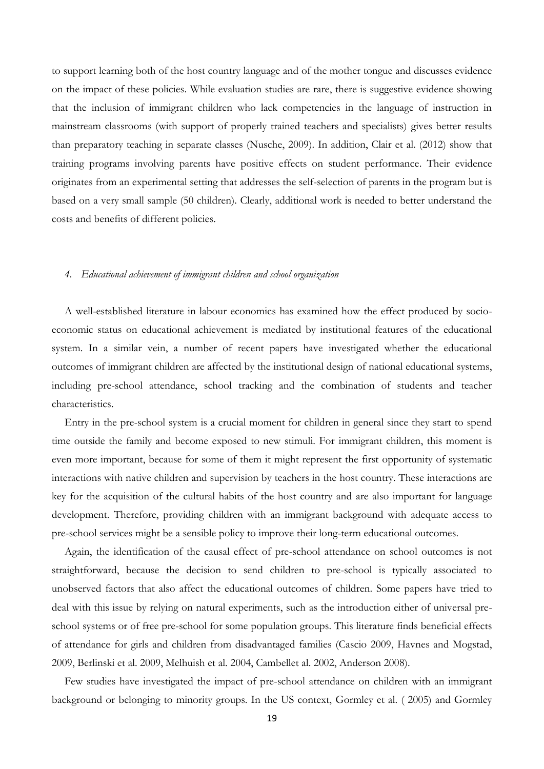to support learning both of the host country language and of the mother tongue and discusses evidence on the impact of these policies. While evaluation studies are rare, there is suggestive evidence showing that the inclusion of immigrant children who lack competencies in the language of instruction in mainstream classrooms (with support of properly trained teachers and specialists) gives better results than preparatory teaching in separate classes (Nusche, 2009). In addition, Clair et al. (2012) show that training programs involving parents have positive effects on student performance. Their evidence originates from an experimental setting that addresses the self-selection of parents in the program but is based on a very small sample (50 children). Clearly, additional work is needed to better understand the costs and benefits of different policies.

#### *4. Educational achievement of immigrant children and school organization*

A well-established literature in labour economics has examined how the effect produced by socioeconomic status on educational achievement is mediated by institutional features of the educational system. In a similar vein, a number of recent papers have investigated whether the educational outcomes of immigrant children are affected by the institutional design of national educational systems, including pre-school attendance, school tracking and the combination of students and teacher characteristics.

Entry in the pre-school system is a crucial moment for children in general since they start to spend time outside the family and become exposed to new stimuli. For immigrant children, this moment is even more important, because for some of them it might represent the first opportunity of systematic interactions with native children and supervision by teachers in the host country. These interactions are key for the acquisition of the cultural habits of the host country and are also important for language development. Therefore, providing children with an immigrant background with adequate access to pre-school services might be a sensible policy to improve their long-term educational outcomes.

Again, the identification of the causal effect of pre-school attendance on school outcomes is not straightforward, because the decision to send children to pre-school is typically associated to unobserved factors that also affect the educational outcomes of children. Some papers have tried to deal with this issue by relying on natural experiments, such as the introduction either of universal preschool systems or of free pre-school for some population groups. This literature finds beneficial effects of attendance for girls and children from disadvantaged families (Cascio 2009, Havnes and Mogstad, 2009, Berlinski et al. 2009, Melhuish et al. 2004, Cambellet al. 2002, Anderson 2008).

Few studies have investigated the impact of pre-school attendance on children with an immigrant background or belonging to minority groups. In the US context, Gormley et al. ( 2005) and Gormley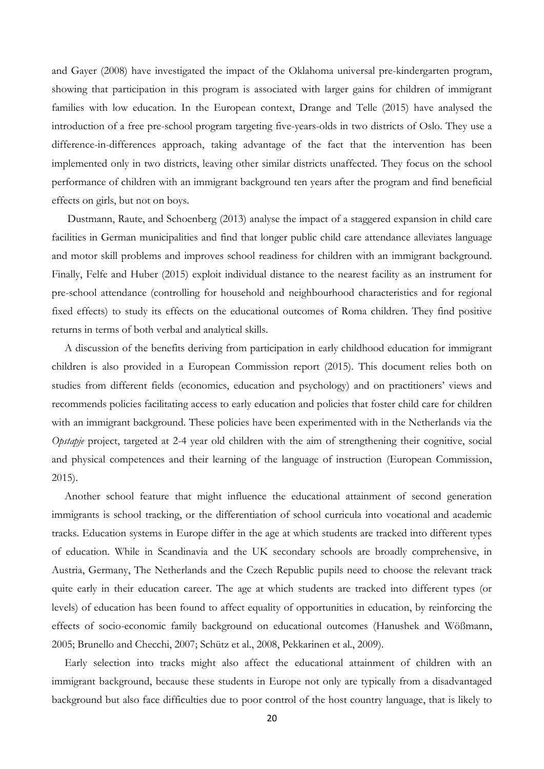and Gayer (2008) have investigated the impact of the Oklahoma universal pre-kindergarten program, showing that participation in this program is associated with larger gains for children of immigrant families with low education. In the European context, Drange and Telle (2015) have analysed the introduction of a free pre-school program targeting five-years-olds in two districts of Oslo. They use a difference-in-differences approach, taking advantage of the fact that the intervention has been implemented only in two districts, leaving other similar districts unaffected. They focus on the school performance of children with an immigrant background ten years after the program and find beneficial effects on girls, but not on boys.

Dustmann, Raute, and Schoenberg (2013) analyse the impact of a staggered expansion in child care facilities in German municipalities and find that longer public child care attendance alleviates language and motor skill problems and improves school readiness for children with an immigrant background. Finally, Felfe and Huber (2015) exploit individual distance to the nearest facility as an instrument for pre-school attendance (controlling for household and neighbourhood characteristics and for regional fixed effects) to study its effects on the educational outcomes of Roma children. They find positive returns in terms of both verbal and analytical skills.

A discussion of the benefits deriving from participation in early childhood education for immigrant children is also provided in a European Commission report (2015). This document relies both on studies from different fields (economics, education and psychology) and on practitioners' views and recommends policies facilitating access to early education and policies that foster child care for children with an immigrant background. These policies have been experimented with in the Netherlands via the *Opstapje* project, targeted at 2-4 year old children with the aim of strengthening their cognitive, social and physical competences and their learning of the language of instruction (European Commission, 2015).

Another school feature that might influence the educational attainment of second generation immigrants is school tracking, or the differentiation of school curricula into vocational and academic tracks. Education systems in Europe differ in the age at which students are tracked into different types of education. While in Scandinavia and the UK secondary schools are broadly comprehensive, in Austria, Germany, The Netherlands and the Czech Republic pupils need to choose the relevant track quite early in their education career. The age at which students are tracked into different types (or levels) of education has been found to affect equality of opportunities in education, by reinforcing the effects of socio-economic family background on educational outcomes (Hanushek and Wößmann, 2005; Brunello and Checchi, 2007; Schütz et al., 2008, Pekkarinen et al., 2009).

Early selection into tracks might also affect the educational attainment of children with an immigrant background, because these students in Europe not only are typically from a disadvantaged background but also face difficulties due to poor control of the host country language, that is likely to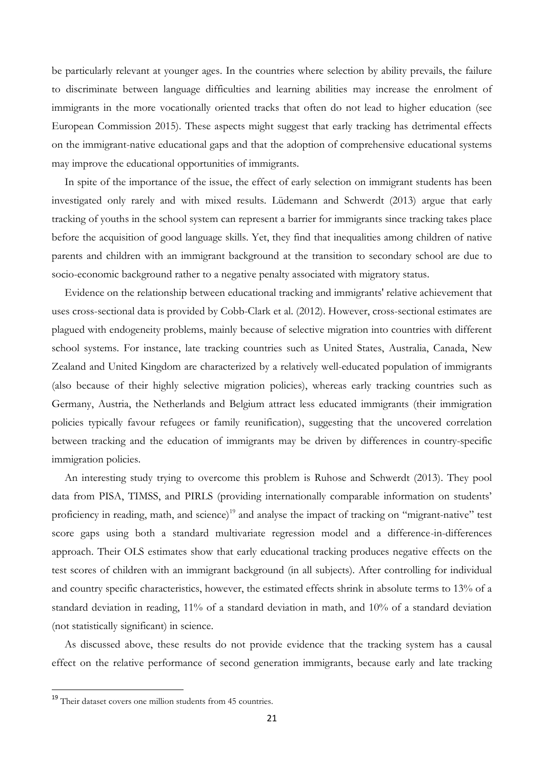be particularly relevant at younger ages. In the countries where selection by ability prevails, the failure to discriminate between language difficulties and learning abilities may increase the enrolment of immigrants in the more vocationally oriented tracks that often do not lead to higher education (see European Commission 2015). These aspects might suggest that early tracking has detrimental effects on the immigrant-native educational gaps and that the adoption of comprehensive educational systems may improve the educational opportunities of immigrants.

In spite of the importance of the issue, the effect of early selection on immigrant students has been investigated only rarely and with mixed results. Lüdemann and Schwerdt (2013) argue that early tracking of youths in the school system can represent a barrier for immigrants since tracking takes place before the acquisition of good language skills. Yet, they find that inequalities among children of native parents and children with an immigrant background at the transition to secondary school are due to socio-economic background rather to a negative penalty associated with migratory status.

Evidence on the relationship between educational tracking and immigrants' relative achievement that uses cross-sectional data is provided by Cobb-Clark et al. (2012). However, cross-sectional estimates are plagued with endogeneity problems, mainly because of selective migration into countries with different school systems. For instance, late tracking countries such as United States, Australia, Canada, New Zealand and United Kingdom are characterized by a relatively well-educated population of immigrants (also because of their highly selective migration policies), whereas early tracking countries such as Germany, Austria, the Netherlands and Belgium attract less educated immigrants (their immigration policies typically favour refugees or family reunification), suggesting that the uncovered correlation between tracking and the education of immigrants may be driven by differences in country-specific immigration policies.

An interesting study trying to overcome this problem is Ruhose and Schwerdt (2013). They pool data from PISA, TIMSS, and PIRLS (providing internationally comparable information on students' proficiency in reading, math, and science)<sup>19</sup> and analyse the impact of tracking on "migrant-native" test score gaps using both a standard multivariate regression model and a difference-in-differences approach. Their OLS estimates show that early educational tracking produces negative effects on the test scores of children with an immigrant background (in all subjects). After controlling for individual and country specific characteristics, however, the estimated effects shrink in absolute terms to 13% of a standard deviation in reading, 11% of a standard deviation in math, and 10% of a standard deviation (not statistically significant) in science.

As discussed above, these results do not provide evidence that the tracking system has a causal effect on the relative performance of second generation immigrants, because early and late tracking

 $\overline{a}$ 

<sup>&</sup>lt;sup>19</sup> Their dataset covers one million students from 45 countries.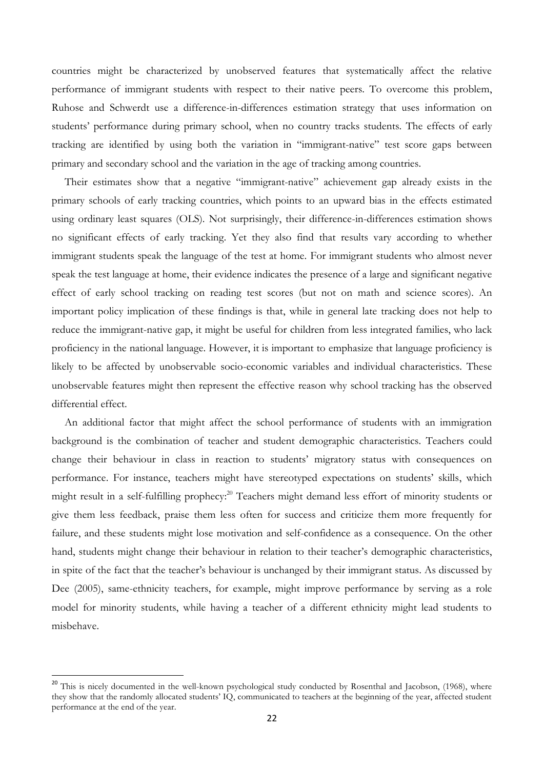countries might be characterized by unobserved features that systematically affect the relative performance of immigrant students with respect to their native peers. To overcome this problem, Ruhose and Schwerdt use a difference-in-differences estimation strategy that uses information on students' performance during primary school, when no country tracks students. The effects of early tracking are identified by using both the variation in "immigrant-native" test score gaps between primary and secondary school and the variation in the age of tracking among countries.

Their estimates show that a negative "immigrant-native" achievement gap already exists in the primary schools of early tracking countries, which points to an upward bias in the effects estimated using ordinary least squares (OLS). Not surprisingly, their difference-in-differences estimation shows no significant effects of early tracking. Yet they also find that results vary according to whether immigrant students speak the language of the test at home. For immigrant students who almost never speak the test language at home, their evidence indicates the presence of a large and significant negative effect of early school tracking on reading test scores (but not on math and science scores). An important policy implication of these findings is that, while in general late tracking does not help to reduce the immigrant-native gap, it might be useful for children from less integrated families, who lack proficiency in the national language. However, it is important to emphasize that language proficiency is likely to be affected by unobservable socio-economic variables and individual characteristics. These unobservable features might then represent the effective reason why school tracking has the observed differential effect.

An additional factor that might affect the school performance of students with an immigration background is the combination of teacher and student demographic characteristics. Teachers could change their behaviour in class in reaction to students' migratory status with consequences on performance. For instance, teachers might have stereotyped expectations on students' skills, which might result in a self-fulfilling prophecy: <sup>20</sup> Teachers might demand less effort of minority students or give them less feedback, praise them less often for success and criticize them more frequently for failure, and these students might lose motivation and self-confidence as a consequence. On the other hand, students might change their behaviour in relation to their teacher's demographic characteristics, in spite of the fact that the teacher's behaviour is unchanged by their immigrant status. As discussed by Dee (2005), same-ethnicity teachers, for example, might improve performance by serving as a role model for minority students, while having a teacher of a different ethnicity might lead students to misbehave.

<sup>&</sup>lt;sup>20</sup> This is nicely documented in the well-known psychological study conducted by [Rosenthal and Jacobson, \(1968\)](http://www.sciencedirect.com/science/article/pii/S0272775711000926#bib0175), where they show that the randomly allocated students' IQ, communicated to teachers at the beginning of the year, affected student performance at the end of the year.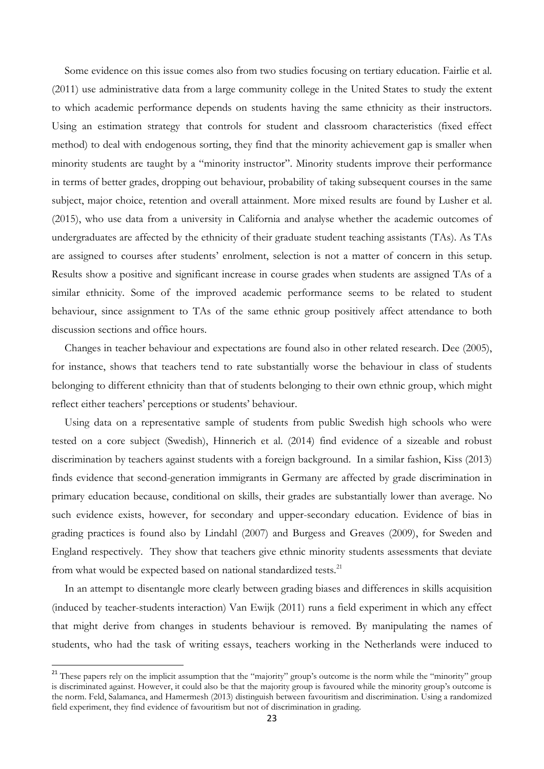Some evidence on this issue comes also from two studies focusing on tertiary education. Fairlie et al. (2011) use administrative data from a large community college in the United States to study the extent to which academic performance depends on students having the same ethnicity as their instructors. Using an estimation strategy that controls for student and classroom characteristics (fixed effect method) to deal with endogenous sorting, they find that the minority achievement gap is smaller when minority students are taught by a "minority instructor". Minority students improve their performance in terms of better grades, dropping out behaviour, probability of taking subsequent courses in the same subject, major choice, retention and overall attainment. More mixed results are found by Lusher et al. (2015), who use data from a university in California and analyse whether the academic outcomes of undergraduates are affected by the ethnicity of their graduate student teaching assistants (TAs). As TAs are assigned to courses after students' enrolment, selection is not a matter of concern in this setup. Results show a positive and significant increase in course grades when students are assigned TAs of a similar ethnicity. Some of the improved academic performance seems to be related to student behaviour, since assignment to TAs of the same ethnic group positively affect attendance to both discussion sections and office hours.

Changes in teacher behaviour and expectations are found also in other related research. Dee (2005), for instance, shows that teachers tend to rate substantially worse the behaviour in class of students belonging to different ethnicity than that of students belonging to their own ethnic group, which might reflect either teachers' perceptions or students' behaviour.

Using data on a representative sample of students from public Swedish high schools who were tested on a core subject (Swedish), Hinnerich et al. (2014) find evidence of a sizeable and robust discrimination by teachers against students with a foreign background. In a similar fashion, Kiss (2013) finds evidence that second-generation immigrants in Germany are affected by grade discrimination in primary education because, conditional on skills, their grades are substantially lower than average. No such evidence exists, however, for secondary and upper-secondary education. Evidence of bias in grading practices is found also by [Lindahl \(2007\)](http://www.sciencedirect.com/science/article/pii/S0272775711000926#bib0140) and [Burgess and Greaves \(2009\),](http://www.sciencedirect.com/science/article/pii/S0272775711000926#bib0030) for Sweden and England respectively. They show that teachers give ethnic minority students assessments that deviate from what would be expected based on national standardized tests.<sup>21</sup>

In an attempt to disentangle more clearly between grading biases and differences in skills acquisition (induced by teacher-students interaction) Van Ewijk (2011) runs a field experiment in which any effect that might derive from changes in students behaviour is removed. By manipulating the names of students, who had the task of writing essays, teachers working in the Netherlands were induced to

<sup>&</sup>lt;sup>21</sup> These papers rely on the implicit assumption that the "majority" group's outcome is the norm while the "minority" group is discriminated against. However, it could also be that the majority group is favoured while the minority group's outcome is the norm. Feld, Salamanca, and Hamermesh (2013) distinguish between favouritism and discrimination. Using a randomized field experiment, they find evidence of favouritism but not of discrimination in grading.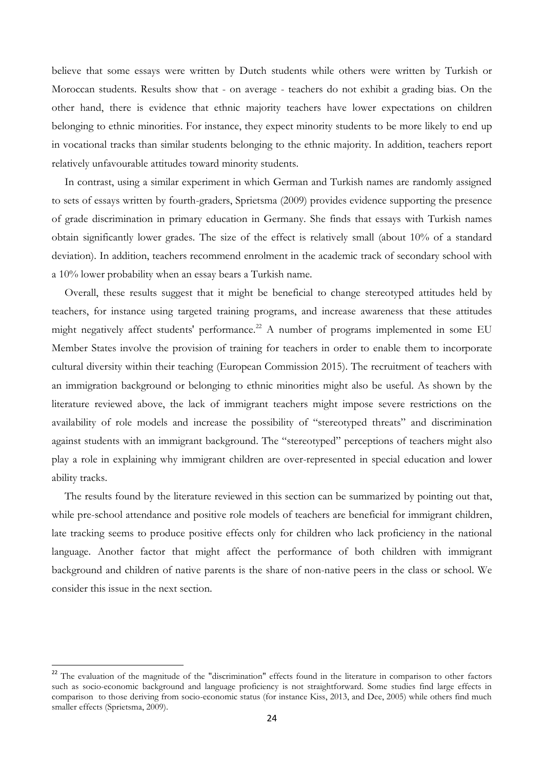believe that some essays were written by Dutch students while others were written by Turkish or Moroccan students. Results show that - on average - teachers do not exhibit a grading bias. On the other hand, there is evidence that ethnic majority teachers have lower expectations on children belonging to ethnic minorities. For instance, they expect minority students to be more likely to end up in vocational tracks than similar students belonging to the ethnic majority. In addition, teachers report relatively unfavourable attitudes toward minority students.

In contrast, using a similar experiment in which German and Turkish names are randomly assigned to sets of essays written by fourth-graders, Sprietsma (2009) provides evidence supporting the presence of grade discrimination in primary education in Germany. She finds that essays with Turkish names obtain significantly lower grades. The size of the effect is relatively small (about 10% of a standard deviation). In addition, teachers recommend enrolment in the academic track of secondary school with a 10% lower probability when an essay bears a Turkish name.

Overall, these results suggest that it might be beneficial to change stereotyped attitudes held by teachers, for instance using targeted training programs, and increase awareness that these attitudes might negatively affect students' performance.<sup>22</sup> A number of programs implemented in some EU Member States involve the provision of training for teachers in order to enable them to incorporate cultural diversity within their teaching (European Commission 2015). The recruitment of teachers with an immigration background or belonging to ethnic minorities might also be useful. As shown by the literature reviewed above, the lack of immigrant teachers might impose severe restrictions on the availability of role models and increase the possibility of "stereotyped threats" and discrimination against students with an immigrant background. The "stereotyped" perceptions of teachers might also play a role in explaining why immigrant children are over-represented in special education and lower ability tracks.

The results found by the literature reviewed in this section can be summarized by pointing out that, while pre-school attendance and positive role models of teachers are beneficial for immigrant children, late tracking seems to produce positive effects only for children who lack proficiency in the national language. Another factor that might affect the performance of both children with immigrant background and children of native parents is the share of non-native peers in the class or school. We consider this issue in the next section.

 $22$  The evaluation of the magnitude of the "discrimination" effects found in the literature in comparison to other factors such as socio-economic background and language proficiency is not straightforward. Some studies find large effects in comparison to those deriving from socio-economic status (for instance Kiss, 2013, and Dee, 2005) while others find much smaller effects (Sprietsma, 2009).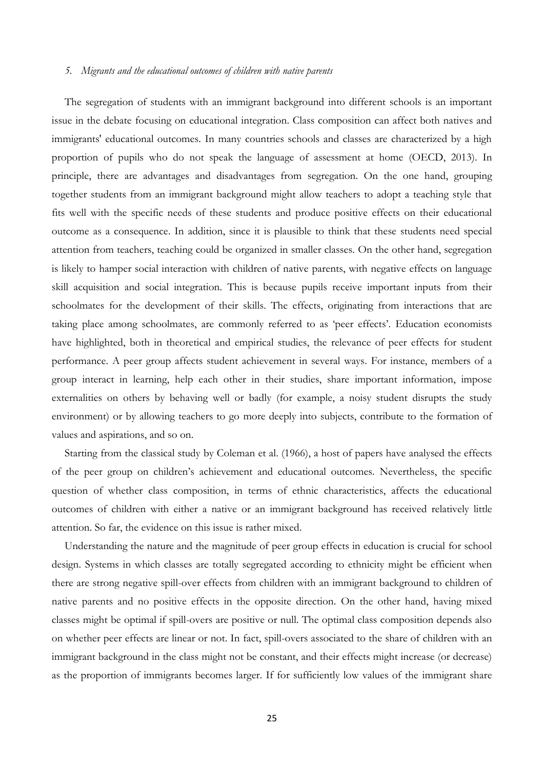#### *5. Migrants and the educational outcomes of children with native parents*

The segregation of students with an immigrant background into different schools is an important issue in the debate focusing on educational integration. Class composition can affect both natives and immigrants' educational outcomes. In many countries schools and classes are characterized by a high proportion of pupils who do not speak the language of assessment at home (OECD, 2013). In principle, there are advantages and disadvantages from segregation. On the one hand, grouping together students from an immigrant background might allow teachers to adopt a teaching style that fits well with the specific needs of these students and produce positive effects on their educational outcome as a consequence. In addition, since it is plausible to think that these students need special attention from teachers, teaching could be organized in smaller classes. On the other hand, segregation is likely to hamper social interaction with children of native parents, with negative effects on language skill acquisition and social integration. This is because pupils receive important inputs from their schoolmates for the development of their skills. The effects, originating from interactions that are taking place among schoolmates, are commonly referred to as 'peer effects'. Education economists have highlighted, both in theoretical and empirical studies, the relevance of peer effects for student performance. A peer group affects student achievement in several ways. For instance, members of a group interact in learning, help each other in their studies, share important information, impose externalities on others by behaving well or badly (for example, a noisy student disrupts the study environment) or by allowing teachers to go more deeply into subjects, contribute to the formation of values and aspirations, and so on.

Starting from the classical study by Coleman et al. (1966), a host of papers have analysed the effects of the peer group on children's achievement and educational outcomes. Nevertheless, the specific question of whether class composition, in terms of ethnic characteristics, affects the educational outcomes of children with either a native or an immigrant background has received relatively little attention. So far, the evidence on this issue is rather mixed.

Understanding the nature and the magnitude of peer group effects in education is crucial for school design. Systems in which classes are totally segregated according to ethnicity might be efficient when there are strong negative spill-over effects from children with an immigrant background to children of native parents and no positive effects in the opposite direction. On the other hand, having mixed classes might be optimal if spill-overs are positive or null. The optimal class composition depends also on whether peer effects are linear or not. In fact, spill-overs associated to the share of children with an immigrant background in the class might not be constant, and their effects might increase (or decrease) as the proportion of immigrants becomes larger. If for sufficiently low values of the immigrant share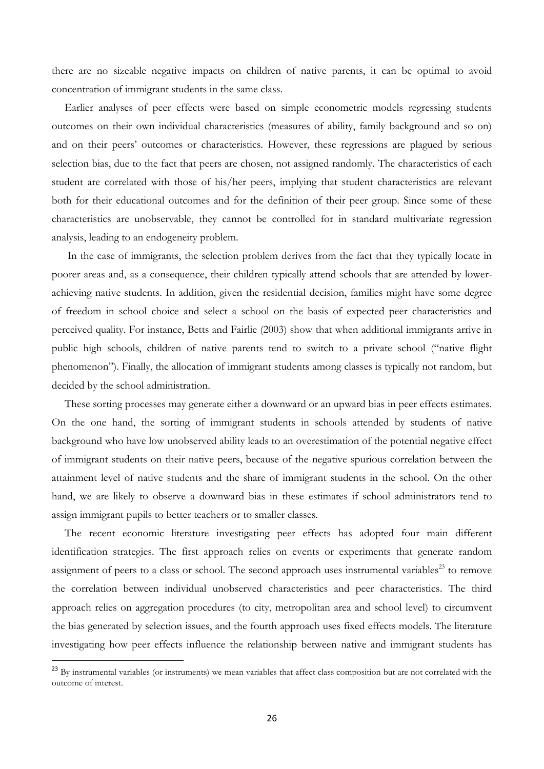there are no sizeable negative impacts on children of native parents, it can be optimal to avoid concentration of immigrant students in the same class.

Earlier analyses of peer effects were based on simple econometric models regressing students outcomes on their own individual characteristics (measures of ability, family background and so on) and on their peers' outcomes or characteristics. However, these regressions are plagued by serious selection bias, due to the fact that peers are chosen, not assigned randomly. The characteristics of each student are correlated with those of his/her peers, implying that student characteristics are relevant both for their educational outcomes and for the definition of their peer group. Since some of these characteristics are unobservable, they cannot be controlled for in standard multivariate regression analysis, leading to an endogeneity problem.

In the case of immigrants, the selection problem derives from the fact that they typically locate in poorer areas and, as a consequence, their children typically attend schools that are attended by lowerachieving native students. In addition, given the residential decision, families might have some degree of freedom in school choice and select a school on the basis of expected peer characteristics and perceived quality. For instance, Betts and Fairlie (2003) show that when additional immigrants arrive in public high schools, children of native parents tend to switch to a private school ("native flight phenomenon"). Finally, the allocation of immigrant students among classes is typically not random, but decided by the school administration.

These sorting processes may generate either a downward or an upward bias in peer effects estimates. On the one hand, the sorting of immigrant students in schools attended by students of native background who have low unobserved ability leads to an overestimation of the potential negative effect of immigrant students on their native peers, because of the negative spurious correlation between the attainment level of native students and the share of immigrant students in the school. On the other hand, we are likely to observe a downward bias in these estimates if school administrators tend to assign immigrant pupils to better teachers or to smaller classes.

The recent economic literature investigating peer effects has adopted four main different identification strategies. The first approach relies on events or experiments that generate random assignment of peers to a class or school. The second approach uses instrumental variables<sup>23</sup> to remove the correlation between individual unobserved characteristics and peer characteristics. The third approach relies on aggregation procedures (to city, metropolitan area and school level) to circumvent the bias generated by selection issues, and the fourth approach uses fixed effects models. The literature investigating how peer effects influence the relationship between native and immigrant students has

<sup>&</sup>lt;sup>23</sup> By instrumental variables (or instruments) we mean variables that affect class composition but are not correlated with the outcome of interest.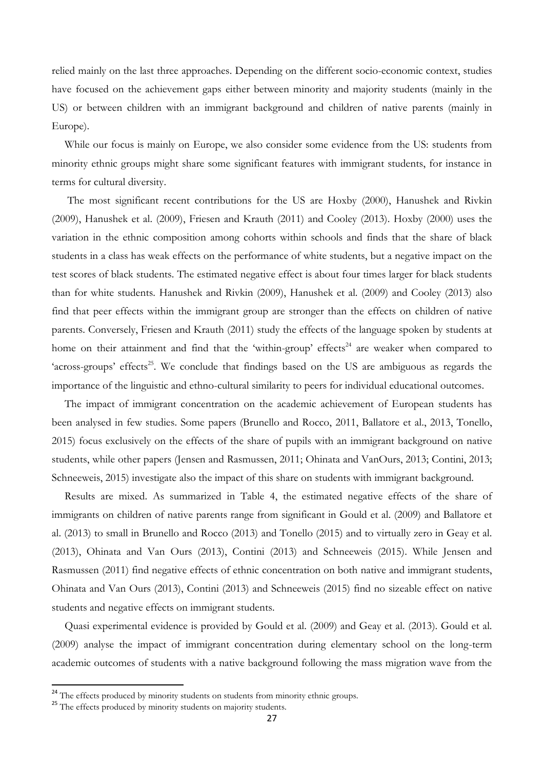relied mainly on the last three approaches. Depending on the different socio-economic context, studies have focused on the achievement gaps either between minority and majority students (mainly in the US) or between children with an immigrant background and children of native parents (mainly in Europe).

While our focus is mainly on Europe, we also consider some evidence from the US: students from minority ethnic groups might share some significant features with immigrant students, for instance in terms for cultural diversity.

The most significant recent contributions for the US are Hoxby (2000), Hanushek and Rivkin (2009), Hanushek et al. (2009), Friesen and Krauth (2011) and Cooley (2013). Hoxby (2000) uses the variation in the ethnic composition among cohorts within schools and finds that the share of black students in a class has weak effects on the performance of white students, but a negative impact on the test scores of black students. The estimated negative effect is about four times larger for black students than for white students. Hanushek and Rivkin (2009), Hanushek et al. (2009) and Cooley (2013) also find that peer effects within the immigrant group are stronger than the effects on children of native parents. Conversely, Friesen and Krauth (2011) study the effects of the language spoken by students at home on their attainment and find that the 'within-group' effects<sup>24</sup> are weaker when compared to 'across-groups' effects<sup>25</sup>. We conclude that findings based on the US are ambiguous as regards the importance of the linguistic and ethno-cultural similarity to peers for individual educational outcomes.

The impact of immigrant concentration on the academic achievement of European students has been analysed in few studies. Some papers (Brunello and Rocco, 2011, Ballatore et al., 2013, Tonello, 2015) focus exclusively on the effects of the share of pupils with an immigrant background on native students, while other papers (Jensen and Rasmussen, 2011; Ohinata and VanOurs, 2013; Contini, 2013; Schneeweis, 2015) investigate also the impact of this share on students with immigrant background.

Results are mixed. As summarized in Table 4, the estimated negative effects of the share of immigrants on children of native parents range from significant in Gould et al. (2009) and Ballatore et al. (2013) to small in Brunello and Rocco (2013) and Tonello (2015) and to virtually zero in Geay et al. (2013), Ohinata and Van Ours (2013), Contini (2013) and Schneeweis (2015). While Jensen and Rasmussen (2011) find negative effects of ethnic concentration on both native and immigrant students, Ohinata and Van Ours (2013), Contini (2013) and Schneeweis (2015) find no sizeable effect on native students and negative effects on immigrant students.

Quasi experimental evidence is provided by Gould et al. (2009) and Geay et al. (2013). Gould et al. (2009) analyse the impact of immigrant concentration during elementary school on the long-term academic outcomes of students with a native background following the mass migration wave from the

1

<sup>&</sup>lt;sup>24</sup> The effects produced by minority students on students from minority ethnic groups.

<sup>&</sup>lt;sup>25</sup> The effects produced by minority students on majority students.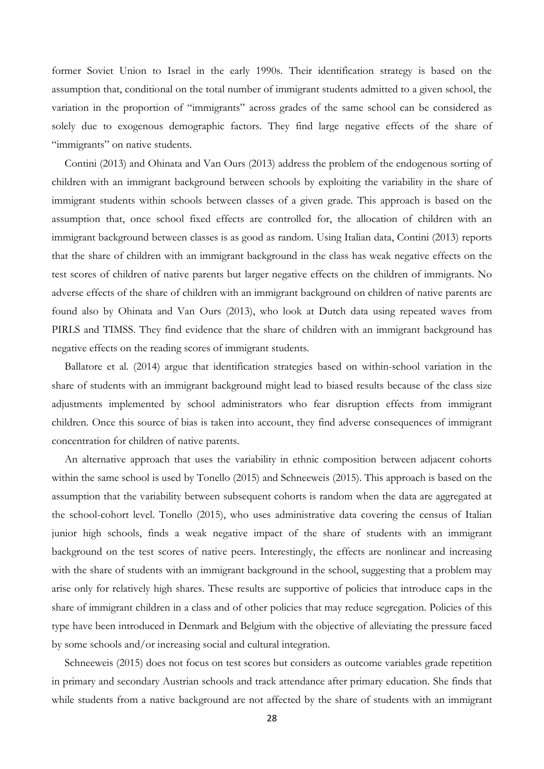former Soviet Union to Israel in the early 1990s. Their identification strategy is based on the assumption that, conditional on the total number of immigrant students admitted to a given school, the variation in the proportion of "immigrants" across grades of the same school can be considered as solely due to exogenous demographic factors. They find large negative effects of the share of "immigrants" on native students.

Contini (2013) and Ohinata and Van Ours (2013) address the problem of the endogenous sorting of children with an immigrant background between schools by exploiting the variability in the share of immigrant students within schools between classes of a given grade. This approach is based on the assumption that, once school fixed effects are controlled for, the allocation of children with an immigrant background between classes is as good as random. Using Italian data, Contini (2013) reports that the share of children with an immigrant background in the class has weak negative effects on the test scores of children of native parents but larger negative effects on the children of immigrants. No adverse effects of the share of children with an immigrant background on children of native parents are found also by Ohinata and Van Ours (2013), who look at Dutch data using repeated waves from PIRLS and TIMSS. They find evidence that the share of children with an immigrant background has negative effects on the reading scores of immigrant students.

Ballatore et al. (2014) argue that identification strategies based on within-school variation in the share of students with an immigrant background might lead to biased results because of the class size adjustments implemented by school administrators who fear disruption effects from immigrant children. Once this source of bias is taken into account, they find adverse consequences of immigrant concentration for children of native parents.

An alternative approach that uses the variability in ethnic composition between adjacent cohorts within the same school is used by Tonello (2015) and Schneeweis (2015). This approach is based on the assumption that the variability between subsequent cohorts is random when the data are aggregated at the school-cohort level. Tonello (2015), who uses administrative data covering the census of Italian junior high schools, finds a weak negative impact of the share of students with an immigrant background on the test scores of native peers. Interestingly, the effects are nonlinear and increasing with the share of students with an immigrant background in the school, suggesting that a problem may arise only for relatively high shares. These results are supportive of policies that introduce caps in the share of immigrant children in a class and of other policies that may reduce segregation. Policies of this type have been introduced in Denmark and Belgium with the objective of alleviating the pressure faced by some schools and/or increasing social and cultural integration.

Schneeweis (2015) does not focus on test scores but considers as outcome variables grade repetition in primary and secondary Austrian schools and track attendance after primary education. She finds that while students from a native background are not affected by the share of students with an immigrant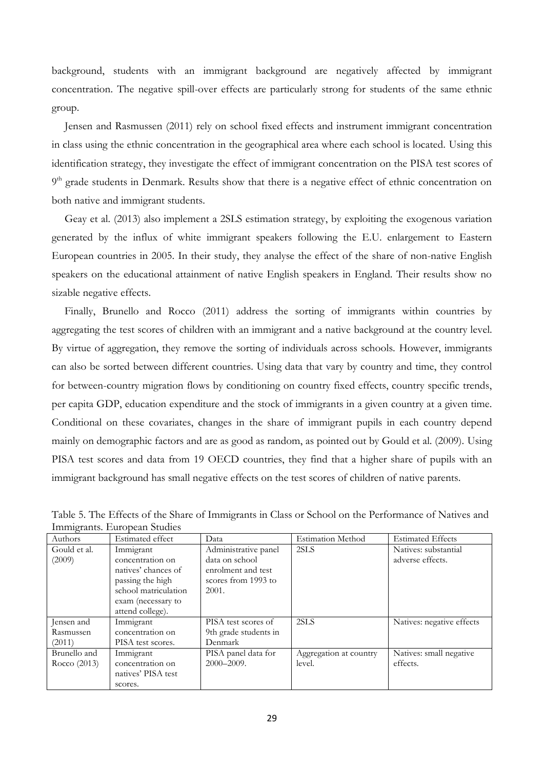background, students with an immigrant background are negatively affected by immigrant concentration. The negative spill-over effects are particularly strong for students of the same ethnic group.

Jensen and Rasmussen (2011) rely on school fixed effects and instrument immigrant concentration in class using the ethnic concentration in the geographical area where each school is located. Using this identification strategy, they investigate the effect of immigrant concentration on the PISA test scores of 9<sup>th</sup> grade students in Denmark. Results show that there is a negative effect of ethnic concentration on both native and immigrant students.

Geay et al. (2013) also implement a 2SLS estimation strategy, by exploiting the exogenous variation generated by the influx of white immigrant speakers following the E.U. enlargement to Eastern European countries in 2005. In their study, they analyse the effect of the share of non-native English speakers on the educational attainment of native English speakers in England. Their results show no sizable negative effects.

Finally, Brunello and Rocco (2011) address the sorting of immigrants within countries by aggregating the test scores of children with an immigrant and a native background at the country level. By virtue of aggregation, they remove the sorting of individuals across schools. However, immigrants can also be sorted between different countries. Using data that vary by country and time, they control for between-country migration flows by conditioning on country fixed effects, country specific trends, per capita GDP, education expenditure and the stock of immigrants in a given country at a given time. Conditional on these covariates, changes in the share of immigrant pupils in each country depend mainly on demographic factors and are as good as random, as pointed out by Gould et al. (2009). Using PISA test scores and data from 19 OECD countries, they find that a higher share of pupils with an immigrant background has small negative effects on the test scores of children of native parents.

| Authors      | Estimated effect     | Data                  | <b>Estimation Method</b> | <b>Estimated Effects</b>  |
|--------------|----------------------|-----------------------|--------------------------|---------------------------|
| Gould et al. | Immigrant            | Administrative panel  | 2SLS                     | Natives: substantial      |
| (2009)       | concentration on     | data on school        |                          | adverse effects.          |
|              | natives' chances of  | enrolment and test    |                          |                           |
|              | passing the high     | scores from 1993 to   |                          |                           |
|              | school matriculation | 2001.                 |                          |                           |
|              | exam (necessary to   |                       |                          |                           |
|              | attend college).     |                       |                          |                           |
| Jensen and   | Immigrant            | PISA test scores of   | 2SLS                     | Natives: negative effects |
| Rasmussen    | concentration on     | 9th grade students in |                          |                           |
| (2011)       | PISA test scores.    | Denmark               |                          |                           |
| Brunello and | Immigrant            | PISA panel data for   | Aggregation at country   | Natives: small negative   |
| Rocco (2013) | concentration on     | 2000-2009.            | level.                   | effects.                  |
|              | natives' PISA test   |                       |                          |                           |
|              | scores.              |                       |                          |                           |

Table 5. The Effects of the Share of Immigrants in Class or School on the Performance of Natives and Immigrants. European Studies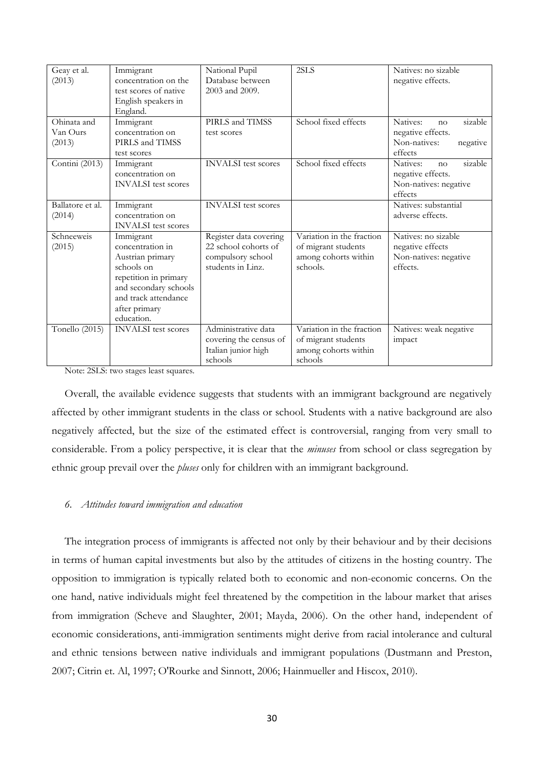| Geay et al.<br>(2013)             | Immigrant<br>concentration on the<br>test scores of native<br>English speakers in<br>England.                                                                            | National Pupil<br>Database between<br>2003 and 2009.                                     | 2SLS                                                                                 | Natives: no sizable<br>negative effects.                                              |
|-----------------------------------|--------------------------------------------------------------------------------------------------------------------------------------------------------------------------|------------------------------------------------------------------------------------------|--------------------------------------------------------------------------------------|---------------------------------------------------------------------------------------|
| Ohinata and<br>Van Ours<br>(2013) | Immigrant<br>concentration on<br>PIRLS and TIMSS<br>test scores                                                                                                          | PIRLS and TIMSS<br>test scores                                                           | School fixed effects                                                                 | Natives:<br>sizable<br>no<br>negative effects.<br>Non-natives:<br>negative<br>effects |
| Contini (2013)                    | Immigrant<br>concentration on<br><b>INVALSI</b> test scores                                                                                                              | <b>INVALSI</b> test scores                                                               | School fixed effects                                                                 | Natives:<br>sizable<br>no<br>negative effects.<br>Non-natives: negative<br>effects    |
| Ballatore et al.<br>(2014)        | Immigrant<br>concentration on<br><b>INVALSI</b> test scores                                                                                                              | <b>INVALSI</b> test scores                                                               |                                                                                      | Natives: substantial<br>adverse effects.                                              |
| Schneeweis<br>(2015)              | Immigrant<br>concentration in<br>Austrian primary<br>schools on<br>repetition in primary<br>and secondary schools<br>and track attendance<br>after primary<br>education. | Register data covering<br>22 school cohorts of<br>compulsory school<br>students in Linz. | Variation in the fraction<br>of migrant students<br>among cohorts within<br>schools. | Natives: no sizable<br>negative effects<br>Non-natives: negative<br>effects.          |
| Tonello (2015)                    | <b>INVALSI</b> test scores                                                                                                                                               | Administrative data<br>covering the census of<br>Italian junior high<br>schools          | Variation in the fraction<br>of migrant students<br>among cohorts within<br>schools  | Natives: weak negative<br>impact                                                      |

Note: 2SLS: two stages least squares.

Overall, the available evidence suggests that students with an immigrant background are negatively affected by other immigrant students in the class or school. Students with a native background are also negatively affected, but the size of the estimated effect is controversial, ranging from very small to considerable. From a policy perspective, it is clear that the *minuses* from school or class segregation by ethnic group prevail over the *pluses* only for children with an immigrant background.

#### *6. Attitudes toward immigration and education*

The integration process of immigrants is affected not only by their behaviour and by their decisions in terms of human capital investments but also by the attitudes of citizens in the hosting country. The opposition to immigration is typically related both to economic and non-economic concerns. On the one hand, native individuals might feel threatened by the competition in the labour market that arises from immigration (Scheve and Slaughter, 2001; Mayda, 2006). On the other hand, independent of economic considerations, anti-immigration sentiments might derive from racial intolerance and cultural and ethnic tensions between native individuals and immigrant populations (Dustmann and Preston, 2007; Citrin et. Al, 1997; O'Rourke and Sinnott, 2006; Hainmueller and Hiscox, 2010).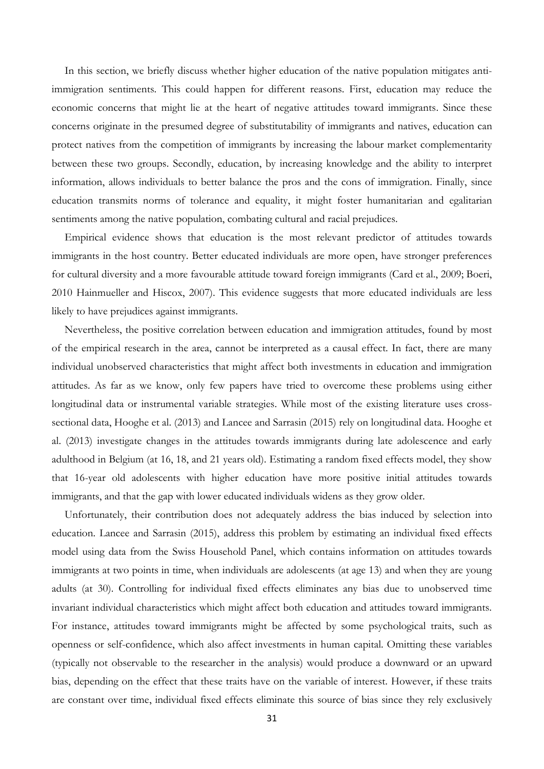In this section, we briefly discuss whether higher education of the native population mitigates antiimmigration sentiments. This could happen for different reasons. First, education may reduce the economic concerns that might lie at the heart of negative attitudes toward immigrants. Since these concerns originate in the presumed degree of substitutability of immigrants and natives, education can protect natives from the competition of immigrants by increasing the labour market complementarity between these two groups. Secondly, education, by increasing knowledge and the ability to interpret information, allows individuals to better balance the pros and the cons of immigration. Finally, since education transmits norms of tolerance and equality, it might foster humanitarian and egalitarian sentiments among the native population, combating cultural and racial prejudices.

Empirical evidence shows that education is the most relevant predictor of attitudes towards immigrants in the host country. Better educated individuals are more open, have stronger preferences for cultural diversity and a more favourable attitude toward foreign immigrants (Card et al., 2009; Boeri, 2010 Hainmueller and Hiscox, 2007). This evidence suggests that more educated individuals are less likely to have prejudices against immigrants.

Nevertheless, the positive correlation between education and immigration attitudes, found by most of the empirical research in the area, cannot be interpreted as a causal effect. In fact, there are many individual unobserved characteristics that might affect both investments in education and immigration attitudes. As far as we know, only few papers have tried to overcome these problems using either longitudinal data or instrumental variable strategies. While most of the existing literature uses crosssectional data, Hooghe et al. (2013) and Lancee and Sarrasin (2015) rely on longitudinal data. Hooghe et al. (2013) investigate changes in the attitudes towards immigrants during late adolescence and early adulthood in Belgium (at 16, 18, and 21 years old). Estimating a random fixed effects model, they show that 16-year old adolescents with higher education have more positive initial attitudes towards immigrants, and that the gap with lower educated individuals widens as they grow older.

Unfortunately, their contribution does not adequately address the bias induced by selection into education. Lancee and Sarrasin (2015), address this problem by estimating an individual fixed effects model using data from the Swiss Household Panel, which contains information on attitudes towards immigrants at two points in time, when individuals are adolescents (at age 13) and when they are young adults (at 30). Controlling for individual fixed effects eliminates any bias due to unobserved time invariant individual characteristics which might affect both education and attitudes toward immigrants. For instance, attitudes toward immigrants might be affected by some psychological traits, such as openness or self-confidence, which also affect investments in human capital. Omitting these variables (typically not observable to the researcher in the analysis) would produce a downward or an upward bias, depending on the effect that these traits have on the variable of interest. However, if these traits are constant over time, individual fixed effects eliminate this source of bias since they rely exclusively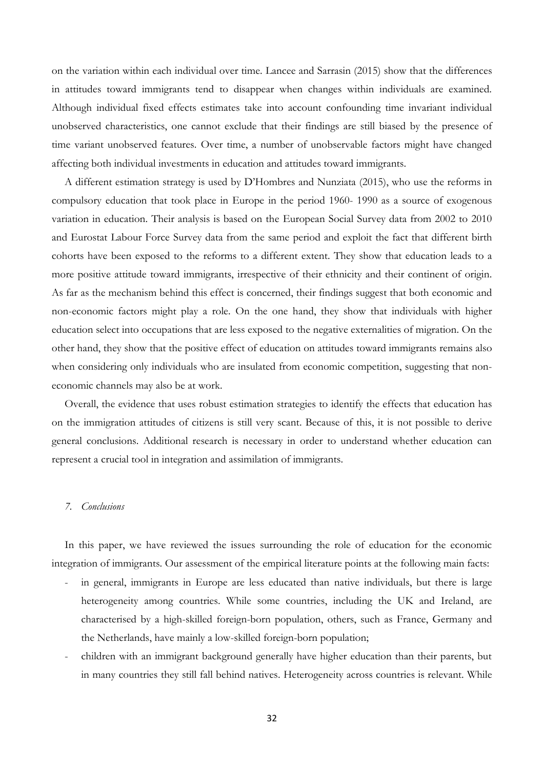on the variation within each individual over time. Lancee and Sarrasin (2015) show that the differences in attitudes toward immigrants tend to disappear when changes within individuals are examined. Although individual fixed effects estimates take into account confounding time invariant individual unobserved characteristics, one cannot exclude that their findings are still biased by the presence of time variant unobserved features. Over time, a number of unobservable factors might have changed affecting both individual investments in education and attitudes toward immigrants.

A different estimation strategy is used by D'Hombres and Nunziata (2015), who use the reforms in compulsory education that took place in Europe in the period 1960- 1990 as a source of exogenous variation in education. Their analysis is based on the European Social Survey data from 2002 to 2010 and Eurostat Labour Force Survey data from the same period and exploit the fact that different birth cohorts have been exposed to the reforms to a different extent. They show that education leads to a more positive attitude toward immigrants, irrespective of their ethnicity and their continent of origin. As far as the mechanism behind this effect is concerned, their findings suggest that both economic and non-economic factors might play a role. On the one hand, they show that individuals with higher education select into occupations that are less exposed to the negative externalities of migration. On the other hand, they show that the positive effect of education on attitudes toward immigrants remains also when considering only individuals who are insulated from economic competition, suggesting that noneconomic channels may also be at work.

Overall, the evidence that uses robust estimation strategies to identify the effects that education has on the immigration attitudes of citizens is still very scant. Because of this, it is not possible to derive general conclusions. Additional research is necessary in order to understand whether education can represent a crucial tool in integration and assimilation of immigrants.

#### *7. Conclusions*

In this paper, we have reviewed the issues surrounding the role of education for the economic integration of immigrants. Our assessment of the empirical literature points at the following main facts:

- in general, immigrants in Europe are less educated than native individuals, but there is large heterogeneity among countries. While some countries, including the UK and Ireland, are characterised by a high-skilled foreign-born population, others, such as France, Germany and the Netherlands, have mainly a low-skilled foreign-born population;
- children with an immigrant background generally have higher education than their parents, but in many countries they still fall behind natives. Heterogeneity across countries is relevant. While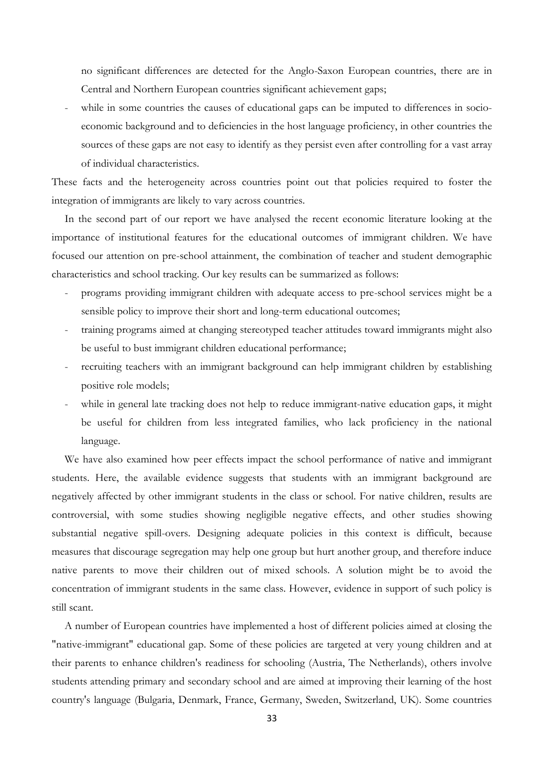no significant differences are detected for the Anglo-Saxon European countries, there are in Central and Northern European countries significant achievement gaps;

while in some countries the causes of educational gaps can be imputed to differences in socioeconomic background and to deficiencies in the host language proficiency, in other countries the sources of these gaps are not easy to identify as they persist even after controlling for a vast array of individual characteristics.

These facts and the heterogeneity across countries point out that policies required to foster the integration of immigrants are likely to vary across countries.

In the second part of our report we have analysed the recent economic literature looking at the importance of institutional features for the educational outcomes of immigrant children. We have focused our attention on pre-school attainment, the combination of teacher and student demographic characteristics and school tracking. Our key results can be summarized as follows:

- programs providing immigrant children with adequate access to pre-school services might be a sensible policy to improve their short and long-term educational outcomes;
- training programs aimed at changing stereotyped teacher attitudes toward immigrants might also be useful to bust immigrant children educational performance;
- recruiting teachers with an immigrant background can help immigrant children by establishing positive role models;
- while in general late tracking does not help to reduce immigrant-native education gaps, it might be useful for children from less integrated families, who lack proficiency in the national language.

We have also examined how peer effects impact the school performance of native and immigrant students. Here, the available evidence suggests that students with an immigrant background are negatively affected by other immigrant students in the class or school. For native children, results are controversial, with some studies showing negligible negative effects, and other studies showing substantial negative spill-overs. Designing adequate policies in this context is difficult, because measures that discourage segregation may help one group but hurt another group, and therefore induce native parents to move their children out of mixed schools. A solution might be to avoid the concentration of immigrant students in the same class. However, evidence in support of such policy is still scant.

A number of European countries have implemented a host of different policies aimed at closing the "native-immigrant" educational gap. Some of these policies are targeted at very young children and at their parents to enhance children's readiness for schooling (Austria, The Netherlands), others involve students attending primary and secondary school and are aimed at improving their learning of the host country's language (Bulgaria, Denmark, France, Germany, Sweden, Switzerland, UK). Some countries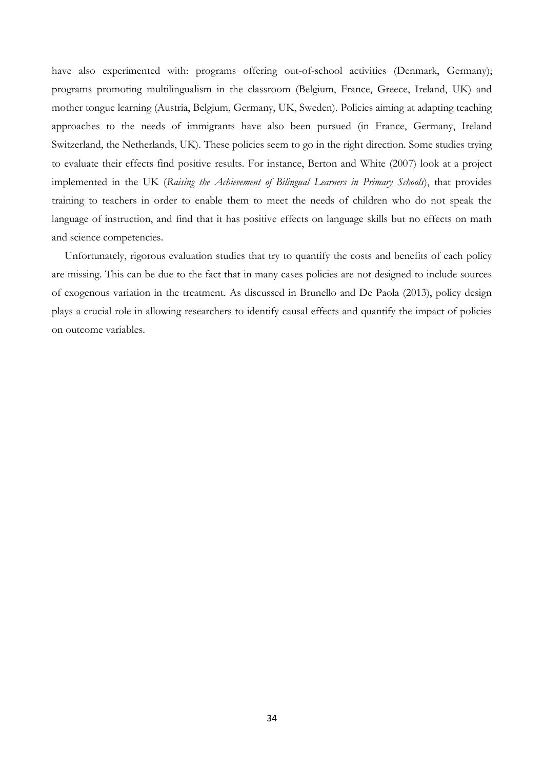have also experimented with: programs offering out-of-school activities (Denmark, Germany); programs promoting multilingualism in the classroom (Belgium, France, Greece, Ireland, UK) and mother tongue learning (Austria, Belgium, Germany, UK, Sweden). Policies aiming at adapting teaching approaches to the needs of immigrants have also been pursued (in France, Germany, Ireland Switzerland, the Netherlands, UK). These policies seem to go in the right direction. Some studies trying to evaluate their effects find positive results. For instance, Berton and White (2007) look at a project implemented in the UK (*Raising the Achievement of Bilingual Learners in Primary Schools*), that provides training to teachers in order to enable them to meet the needs of children who do not speak the language of instruction, and find that it has positive effects on language skills but no effects on math and science competencies.

Unfortunately, rigorous evaluation studies that try to quantify the costs and benefits of each policy are missing. This can be due to the fact that in many cases policies are not designed to include sources of exogenous variation in the treatment. As discussed in Brunello and De Paola (2013), policy design plays a crucial role in allowing researchers to identify causal effects and quantify the impact of policies on outcome variables.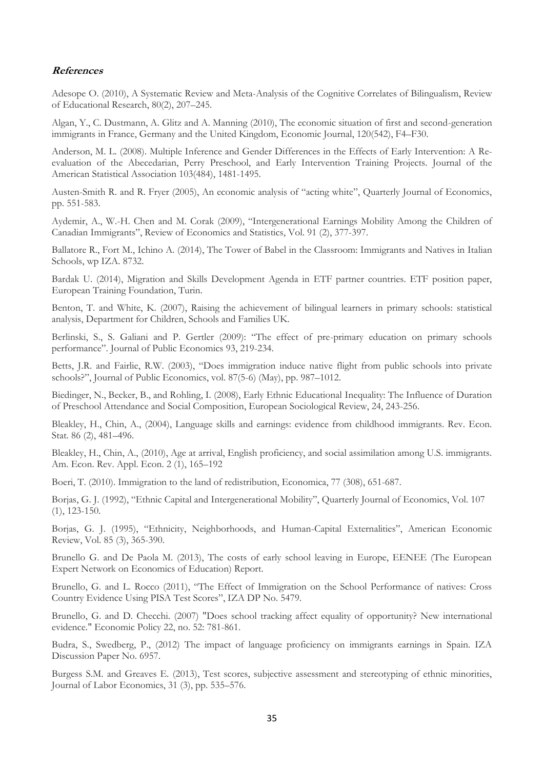#### **References**

[Adesope](http://rer.sagepub.com/search?author1=Olusola+O.+Adesope&sortspec=date&submit=Submit) O. (2010), A Systematic Review and Meta-Analysis of the Cognitive Correlates of Bilingualism, Review of Educational Research, 80(2), 207–245.

Algan, Y., C. Dustmann, A. Glitz and A. Manning (2010), The economic situation of first and second-generation immigrants in France, Germany and the United Kingdom, Economic Journal, 120(542), F4–F30.

Anderson, M. L. (2008). Multiple Inference and Gender Differences in the Effects of Early Intervention: A Reevaluation of the Abecedarian, Perry Preschool, and Early Intervention Training Projects. Journal of the American Statistical Association 103(484), 1481-1495.

Austen-Smith R. and R. Fryer (2005), An economic analysis of "acting white", Quarterly Journal of Economics, pp. 551-583.

Aydemir, A., W.-H. Chen and M. Corak (2009), "Intergenerational Earnings Mobility Among the Children of Canadian Immigrants", Review of Economics and Statistics, Vol. 91 (2), 377-397.

Ballatore R., Fort M., Ichino A. (2014), The Tower of Babel in the Classroom: Immigrants and Natives in Italian Schools, wp IZA. 8732.

Bardak U. (2014), Migration and Skills Development Agenda in ETF partner countries. ETF position paper, European Training Foundation, Turin.

Benton, T. and White, K. (2007), Raising the achievement of bilingual learners in primary schools: statistical analysis, Department for Children, Schools and Families UK.

Berlinski, S., S. Galiani and P. Gertler (2009): "The effect of pre-primary education on primary schools performance". Journal of Public Economics 93, 219-234.

Betts, J.R. and Fairlie, R.W. (2003), "Does immigration induce native flight from public schools into private schools?", Journal of Public Economics, vol. 87(5-6) (May), pp. 987–1012.

Biedinger, N., Becker, B., and Rohling, I. (2008), Early Ethnic Educational Inequality: The Influence of Duration of Preschool Attendance and Social Composition, European Sociological Review, 24, 243-256.

Bleakley, H., Chin, A., (2004), Language skills and earnings: evidence from childhood immigrants. Rev. Econ. Stat. 86 (2), 481–496.

Bleakley, H., Chin, A., (2010), Age at arrival, English proficiency, and social assimilation among U.S. immigrants. Am. Econ. Rev. Appl. Econ. 2 (1), 165–192

Boeri, T. (2010). Immigration to the land of redistribution, Economica, 77 (308), 651-687.

Borjas, G. J. (1992), "Ethnic Capital and Intergenerational Mobility", Quarterly Journal of Economics, Vol. 107 (1), 123-150.

Borjas, G. J. (1995), "Ethnicity, Neighborhoods, and Human-Capital Externalities", American Economic Review, Vol. 85 (3), 365-390.

Brunello G. and De Paola M. (2013), The costs of early school leaving in Europe, EENEE (The European Expert Network on Economics of Education) Report.

Brunello, G. and L. Rocco (2011), "The Effect of Immigration on the School Performance of natives: Cross Country Evidence Using PISA Test Scores", IZA DP No. 5479.

Brunello, G. and D. Checchi. (2007) "Does school tracking affect equality of opportunity? New international evidence." Economic Policy 22, no. 52: 781-861.

Budra, S., Swedberg, P., (2012) The impact of language proficiency on immigrants earnings in Spain. IZA Discussion Paper No. 6957.

[Burgess S.M. and Greaves E. \(2013\)](http://www.sciencedirect.com/science/article/pii/S0272775715000692#bib0003), Test scores, subjective assessment and stereotyping of ethnic minorities, Journal of Labor Economics, 31 (3), pp. 535–576.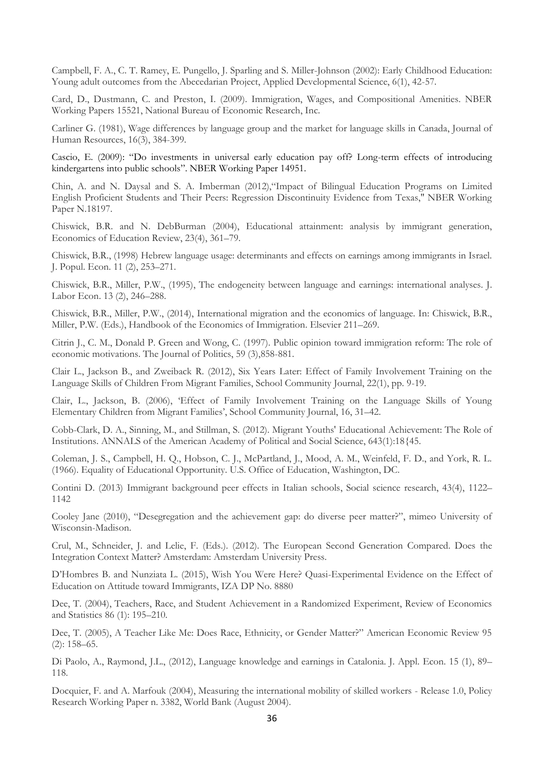Campbell, F. A., C. T. Ramey, E. Pungello, J. Sparling and S. Miller-Johnson (2002): Early Childhood Education: Young adult outcomes from the Abecedarian Project, Applied Developmental Science, 6(1), 42-57.

Card, D., Dustmann, C. and Preston, I. (2009). Immigration, Wages, and Compositional Amenities. NBER Working Papers 15521, National Bureau of Economic Research, Inc.

Carliner G. (1981), [Wage differences by language group and the market for language skills in Canada,](http://www.jstor.org/stable/145627) Journal of Human Resources, 16(3), 384-399.

Cascio, E. (2009): "Do investments in universal early education pay off? Long-term effects of introducing kindergartens into public schools". NBER Working Paper 14951.

Chin, A. and N. Daysal and S. A. Imberman (2012),"Impact of Bilingual Education Programs on Limited English Proficient Students and Their Peers: Regression Discontinuity Evidence from Texas," NBER Working Paper N.18197.

Chiswick, B.R. and N. DebBurman (2004), Educational attainment: analysis by immigrant generation, Economics of Education Review, 23(4), 361–79.

Chiswick, B.R., (1998) Hebrew language usage: determinants and effects on earnings among immigrants in Israel. J. Popul. Econ. 11 (2), 253–271.

Chiswick, B.R., Miller, P.W., (1995), The endogeneity between language and earnings: international analyses. J. Labor Econ. 13 (2), 246–288.

Chiswick, B.R., Miller, P.W., (2014), International migration and the economics of language. In: Chiswick, B.R., Miller, P.W. (Eds.), Handbook of the Economics of Immigration. Elsevier 211–269.

Citrin J., C. M., Donald P. Green and Wong, C. (1997). Public opinion toward immigration reform: The role of economic motivations. The Journal of Politics, 59 (3),858-881.

Clair L., Jackson B., and Zweiback R. (2012), Six Years Later: Effect of Family Involvement Training on the Language Skills of Children From Migrant Families, School Community Journal, 22(1), pp. 9-19.

Clair, L., Jackson, B. (2006), 'Effect of Family Involvement Training on the Language Skills of Young Elementary Children from Migrant Families', School Community Journal, 16, 31–42.

Cobb-Clark, D. A., Sinning, M., and Stillman, S. (2012). Migrant Youths' Educational Achievement: The Role of Institutions. ANNALS of the American Academy of Political and Social Science, 643(1):18{45.

Coleman, J. S., Campbell, H. Q., Hobson, C. J., McPartland, J., Mood, A. M., Weinfeld, F. D., and York, R. L. (1966). Equality of Educational Opportunity. U.S. Office of Education, Washington, DC.

Contini D. (2013) [Immigrant background peer effects in Italian schools,](http://www.sciencedirect.com/science/article/pii/S0049089X1300032X) Social science research, 43(4), 1122– 1142

Cooley Jane (2010), "Desegregation and the achievement gap: do diverse peer matter?", mimeo University of Wisconsin-Madison.

Crul, M., Schneider, J. and Lelie, F. (Eds.). (2012). The European Second Generation Compared. Does the Integration Context Matter? Amsterdam: Amsterdam University Press.

D'Hombres B. and Nunziata L. (2015), Wish You Were Here? Quasi-Experimental Evidence on the Effect of Education on Attitude toward Immigrants, IZA DP No. 8880

Dee, T. (2004), Teachers, Race, and Student Achievement in a Randomized Experiment, Review of Economics and Statistics 86 (1): 195–210.

Dee, T. (2005), A Teacher Like Me: Does Race, Ethnicity, or Gender Matter?" American Economic Review 95 (2): 158–65.

Di Paolo, A., Raymond, J.L., (2012), Language knowledge and earnings in Catalonia. J. Appl. Econ. 15 (1), 89– 118.

Docquier, F. and A. Marfouk (2004), Measuring the international mobility of skilled workers - Release 1.0, Policy Research Working Paper n. 3382, World Bank (August 2004).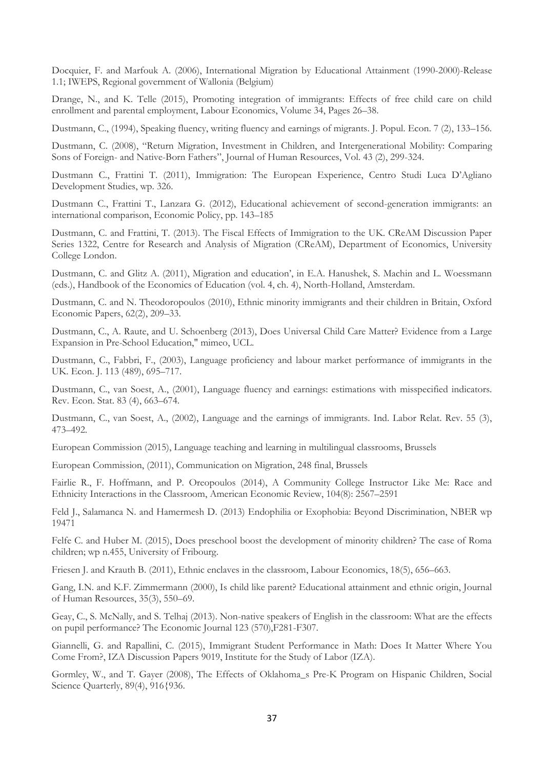Docquier, F. and Marfouk A. (2006), International Migration by Educational Attainment (1990-2000)-Release 1.1; IWEPS, Regional government of Wallonia (Belgium)

Drange, N., and K. Telle (2015), Promoting integration of immigrants: Effects of free child care on child enrollment and parental employment, [Labour Economics,](http://www.sciencedirect.com/science/journal/09275371) [Volume 34,](http://www.sciencedirect.com/science/journal/09275371/34/supp/C) Pages 26–38.

Dustmann, C., (1994), Speaking fluency, writing fluency and earnings of migrants. J. Popul. Econ. 7 (2), 133–156.

Dustmann, C. (2008), "Return Migration, Investment in Children, and Intergenerational Mobility: Comparing Sons of Foreign- and Native-Born Fathers", Journal of Human Resources, Vol. 43 (2), 299-324.

Dustmann C., Frattini T. (2011), Immigration: The European Experience, Centro Studi Luca D'Agliano Development Studies, wp. 326.

Dustmann C., Frattini T., Lanzara G. (2012), Educational achievement of second-generation immigrants: an international comparison, Economic Policy, pp. 143–185

Dustmann, C. and Frattini, T. (2013). The Fiscal Effects of Immigration to the UK. CReAM Discussion Paper Series 1322, Centre for Research and Analysis of Migration (CReAM), Department of Economics, University College London.

Dustmann, C. and Glitz A. (2011), Migration and education', in E.A. Hanushek, S. Machin and L. Woessmann (eds.), Handbook of the Economics of Education (vol. 4, ch. 4), North-Holland, Amsterdam.

Dustmann, C. and N. Theodoropoulos (2010), Ethnic minority immigrants and their children in Britain, Oxford Economic Papers, 62(2), 209–33.

Dustmann, C., A. Raute, and U. Schoenberg (2013), Does Universal Child Care Matter? Evidence from a Large Expansion in Pre-School Education," mimeo, UCL.

Dustmann, C., Fabbri, F., (2003), Language proficiency and labour market performance of immigrants in the UK. Econ. J. 113 (489), 695–717.

Dustmann, C., van Soest, A., (2001), Language fluency and earnings: estimations with misspecified indicators. Rev. Econ. Stat. 83 (4), 663–674.

Dustmann, C., van Soest, A., (2002), Language and the earnings of immigrants. Ind. Labor Relat. Rev. 55 (3), 473–492.

European Commission (2015), Language teaching and learning in multilingual classrooms, Brussels

European Commission, (2011), Communication on Migration, 248 final, Brussels

Fairlie R., F. Hoffmann, and P. Oreopoulos (2014), A Community College Instructor Like Me: Race and Ethnicity Interactions in the Classroom, American Economic Review, 104(8): 2567–2591

[Feld](http://scholar.google.it/citations?user=LI05UOYAAAAJ&hl=it&oi=sra) J., [Salamanca](http://scholar.google.it/citations?user=LOIF05wAAAAJ&hl=it&oi=sra) N. and [Hamermesh](http://scholar.google.it/citations?user=a6yaquoAAAAJ&hl=it&oi=sra) D. (2013) [Endophilia or Exophobia: Beyond Discrimination,](http://www.nber.org/papers/w19471) NBER wp 19471

Felfe C. and Huber M. (2015), Does preschool boost the development of minority children? The case of Roma children; wp n.455, University of Fribourg.

Friesen J. and Krauth B. (2011), [Ethnic enclaves in the classroom,](http://www.sciencedirect.com/science/article/pii/S0927537111000078) Labour Economics, 18(5), 656–663.

Gang, I.N. and K.F. Zimmermann (2000), Is child like parent? Educational attainment and ethnic origin, Journal of Human Resources, 35(3), 550–69.

Geay, C., S. McNally, and S. Telhaj (2013). Non-native speakers of English in the classroom: What are the effects on pupil performance? The Economic Journal 123 (570),F281-F307.

Giannelli, G. and Rapallini, C. (2015), [Immigrant Student Performance in Math: Does It Matter Where You](https://ideas.repec.org/p/iza/izadps/dp9019.html)  [Come From?,](https://ideas.repec.org/p/iza/izadps/dp9019.html) [IZA Discussion Papers](https://ideas.repec.org/s/iza/izadps.html) 9019, Institute for the Study of Labor (IZA).

Gormley, W., and T. Gayer (2008), The Effects of Oklahoma\_s Pre-K Program on Hispanic Children, Social Science Quarterly, 89(4), 916{936.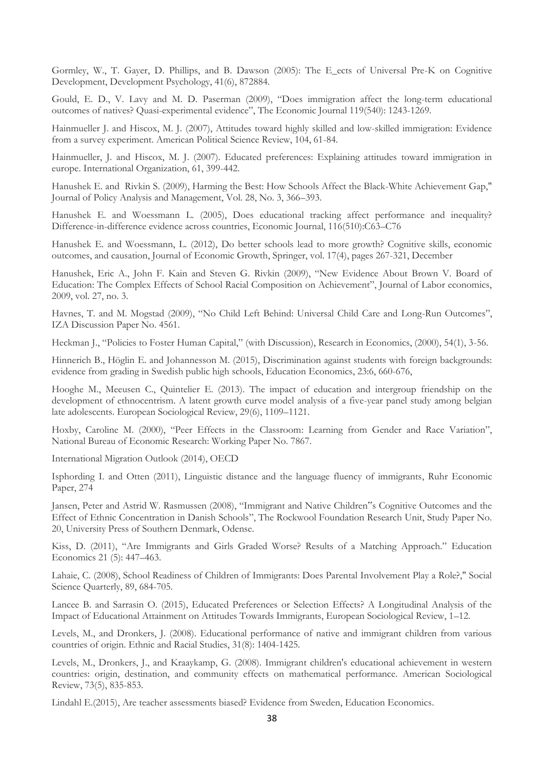Gormley, W., T. Gayer, D. Phillips, and B. Dawson (2005): The E\_ects of Universal Pre-K on Cognitive Development, Development Psychology, 41(6), 872884.

Gould, E. D., V. Lavy and M. D. Paserman (2009), "Does immigration affect the long-term educational outcomes of natives? Quasi-experimental evidence", The Economic Journal 119(540): 1243-1269.

Hainmueller J. and Hiscox, M. J. (2007), Attitudes toward highly skilled and low-skilled immigration: Evidence from a survey experiment. American Political Science Review, 104, 61-84.

Hainmueller, J. and Hiscox, M. J. (2007). Educated preferences: Explaining attitudes toward immigration in europe. International Organization, 61, 399-442.

Hanushek E. and Rivkin S. (2009), Harming the Best: How Schools Affect the Black-White Achievement Gap," Journal of Policy Analysis and Management, Vol. 28, No. 3, 366–393.

Hanushek E. and Woessmann L. (2005), Does educational tracking affect performance and inequality? Difference-in-difference evidence across countries, Economic Journal, 116(510):C63–C76

Hanushek E. and Woessmann, L. (2012), [Do better schools lead to more growth? Cognitive skills, economic](https://ideas.repec.org/a/kap/jecgro/v17y2012i4p267-321.html)  [outcomes, and causation,](https://ideas.repec.org/a/kap/jecgro/v17y2012i4p267-321.html) [Journal of Economic Growth,](https://ideas.repec.org/s/kap/jecgro.html) Springer, vol. 17(4), pages 267-321, December

Hanushek, Eric A., John F. Kain and Steven G. Rivkin (2009), "New Evidence About Brown V. Board of Education: The Complex Effects of School Racial Composition on Achievement", Journal of Labor economics, 2009, vol. 27, no. 3.

Havnes, T. and M. Mogstad (2009), "No Child Left Behind: Universal Child Care and Long-Run Outcomes", IZA Discussion Paper No. 4561.

Heckman J., "Policies to Foster Human Capital," (with Discussion), Research in Economics, (2000), 54(1), 3-56.

Hinnerich B., Höglin E. and Johannesson M. (2015), Discrimination against students with foreign backgrounds: evidence from grading in Swedish public high schools, Education Economics, 23:6, 660-676,

Hooghe M., Meeusen C., Quintelier E. (2013). The impact of education and intergroup friendship on the development of ethnocentrism. A latent growth curve model analysis of a five-year panel study among belgian late adolescents. European Sociological Review, 29(6), 1109–1121.

Hoxby, Caroline M. (2000), "Peer Effects in the Classroom: Learning from Gender and Race Variation", National Bureau of Economic Research: Working Paper No. 7867.

International Migration Outlook (2014), OECD

Isphording I. and Otten (2011), [Linguistic distance and the language fluency of immigrants,](http://papers.ssrn.com/sol3/papers.cfm?abstract_id=1919474) Ruhr Economic Paper, 274

Jansen, Peter and Astrid W. Rasmussen (2008), "Immigrant and Native Children"s Cognitive Outcomes and the Effect of Ethnic Concentration in Danish Schools", The Rockwool Foundation Research Unit, Study Paper No. 20, University Press of Southern Denmark, Odense.

Kiss, D. (2011), "Are Immigrants and Girls Graded Worse? Results of a Matching Approach." Education Economics 21 (5): 447–463.

Lahaie, C. (2008), School Readiness of Children of Immigrants: Does Parental Involvement Play a Role?," Social Science Quarterly, 89, 684-705.

Lancee B. and Sarrasin O. (2015), Educated Preferences or Selection Effects? A Longitudinal Analysis of the Impact of Educational Attainment on Attitudes Towards Immigrants, European Sociological Review, 1–12.

Levels, M., and Dronkers, J. (2008). Educational performance of native and immigrant children from various countries of origin. Ethnic and Racial Studies, 31(8): 1404-1425.

Levels, M., Dronkers, J., and Kraaykamp, G. (2008). Immigrant children's educational achievement in western countries: origin, destination, and community effects on mathematical performance. American Sociological Review, 73(5), 835-853.

Lindahl E.(2015), Are teacher assessments biased? Evidence from Sweden, Education Economics.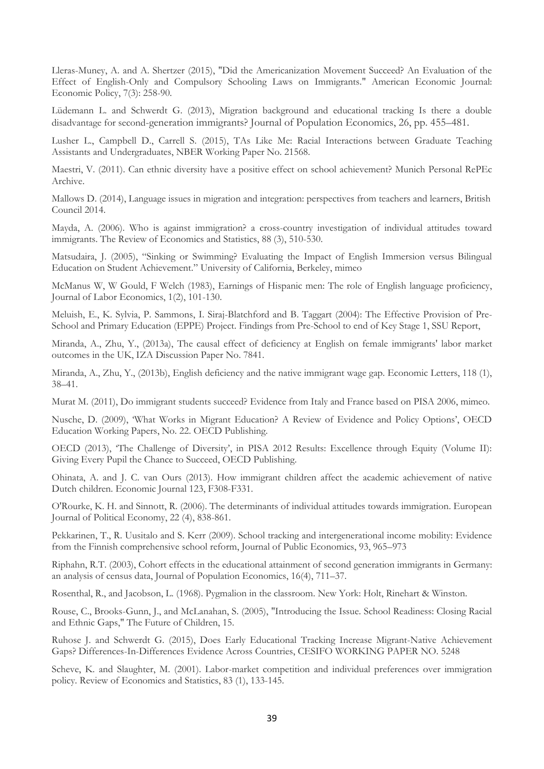Lleras-Muney, A. and A. Shertzer (2015), "Did the Americanization Movement Succeed? An Evaluation of the Effect of English-Only and Compulsory Schooling Laws on Immigrants." American Economic Journal: Economic Policy, 7(3): 258-90.

Lüdemann L. and Schwerdt G. (2013), Migration background and educational tracking Is there a double disadvantage for second-generation immigrants? Journal of Population Economics, 26, pp. 455–481.

[Lusher](http://www.nber.org/people/lester_lusher) L., [Campbell](http://www.nber.org/people/dolcampb) D., [Carrell](http://www.nber.org/people/scott_carrell) S. (2015), TAs Like Me: Racial Interactions between Graduate Teaching Assistants and Undergraduates, NBER Working Paper No. 21568.

Maestri, V. (2011). Can ethnic diversity have a positive effect on school achievement? Munich Personal RePEc Archive.

Mallows D. (2014), Language issues in migration and integration: perspectives from teachers and learners, British Council 2014.

Mayda, A. (2006). Who is against immigration? a cross-country investigation of individual attitudes toward immigrants. The Review of Economics and Statistics, 88 (3), 510-530.

Matsudaira, J. (2005), "Sinking or Swimming? Evaluating the Impact of English Immersion versus Bilingual Education on Student Achievement." University of California, Berkeley, mimeo

[McManus](http://scholar.google.it/citations?user=U6GwwpQAAAAJ&hl=it&oi=sra) W, W Gould, F Welch (1983), [Earnings of Hispanic men: The role of English language proficiency,](http://www.jstor.org/stable/2534901) Journal of Labor Economics, 1(2), 101-130.

Meluish, E., K. Sylvia, P. Sammons, I. Siraj-Blatchford and B. Taggart (2004): The Effective Provision of Pre-School and Primary Education (EPPE) Project. Findings from Pre-School to end of Key Stage 1, SSU Report,

Miranda, A., Zhu, Y., (2013a), The causal effect of deficiency at English on female immigrants' labor market outcomes in the UK, IZA Discussion Paper No. 7841.

Miranda, A., Zhu, Y., (2013b), English deficiency and the native immigrant wage gap. Economic Letters, 118 (1), 38–41.

Murat M. (2011), [Do immigrant students succeed? Evidence from Italy and France based on PISA 2006,](http://ideas.repec.org/p/mod/depeco/0670.html) mimeo.

Nusche, D. (2009), 'What Works in Migrant Education? A Review of Evidence and Policy Options', OECD Education Working Papers, No. 22. OECD Publishing.

OECD (2013), 'The Challenge of Diversity', in PISA 2012 Results: Excellence through Equity (Volume II): Giving Every Pupil the Chance to Succeed, OECD Publishing.

Ohinata, A. and J. C. van Ours (2013). How immigrant children affect the academic achievement of native Dutch children. Economic Journal 123, F308-F331.

O'Rourke, K. H. and Sinnott, R. (2006). The determinants of individual attitudes towards immigration. European Journal of Political Economy, 22 (4), 838-861.

Pekkarinen, T., R. Uusitalo and S. Kerr (2009). School tracking and intergenerational income mobility: Evidence from the Finnish comprehensive school reform, Journal of Public Economics, 93, 965–973

Riphahn, R.T. (2003), Cohort effects in the educational attainment of second generation immigrants in Germany: an analysis of census data, Journal of Population Economics, 16(4), 711–37.

Rosenthal, R., and Jacobson, L. (1968). Pygmalion in the classroom. New York: Holt, Rinehart & Winston.

Rouse, C., Brooks-Gunn, J., and McLanahan, S. (2005), "Introducing the Issue. School Readiness: Closing Racial and Ethnic Gaps," The Future of Children, 15.

Ruhose J. and Schwerdt G. (2015), Does Early Educational Tracking Increase Migrant-Native Achievement Gaps? Differences-In-Differences Evidence Across Countries, CESIFO WORKING PAPER NO. 5248

Scheve, K. and Slaughter, M. (2001). Labor-market competition and individual preferences over immigration policy. Review of Economics and Statistics, 83 (1), 133-145.